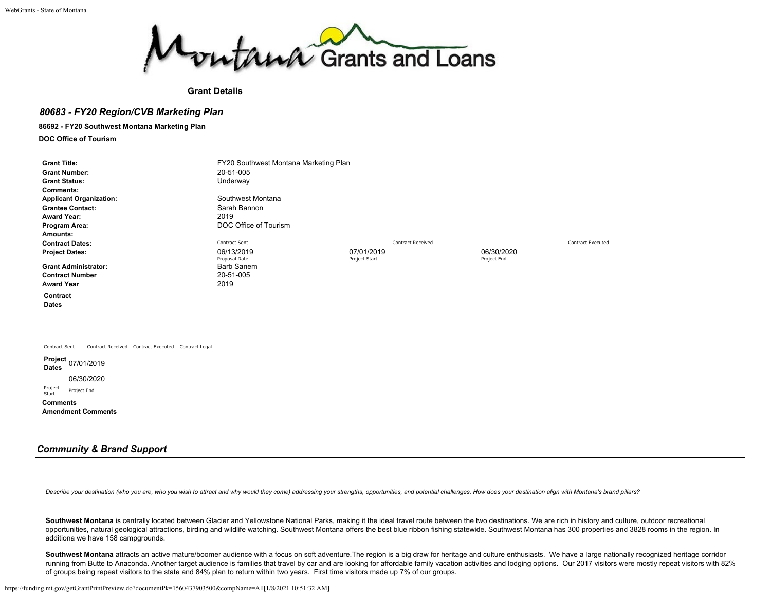

## **Grant Details**

## *80683 - FY20 Region/CVB Marketing Plan*

**86692 - FY20 Southwest Montana Marketing Plan**

**DOC Office of Tourism**

| <b>Grant Title:</b><br><b>Grant Number:</b><br><b>Grant Status:</b><br><b>Comments:</b><br><b>Applicant Organization:</b><br><b>Grantee Contact:</b><br><b>Award Year:</b><br>Program Area:<br>Amounts:<br><b>Contract Dates:</b> | FY20 Southwest Montana Marketing Plan<br>20-51-005<br>Underway<br>Southwest Montana<br>Sarah Bannon<br>2019<br>DOC Office of Tourism<br>Contract Sent |                             | <b>Contract Received</b> |                           | <b>Contract Executed</b> |
|-----------------------------------------------------------------------------------------------------------------------------------------------------------------------------------------------------------------------------------|-------------------------------------------------------------------------------------------------------------------------------------------------------|-----------------------------|--------------------------|---------------------------|--------------------------|
| <b>Project Dates:</b><br><b>Grant Administrator:</b><br><b>Contract Number</b>                                                                                                                                                    | 06/13/2019<br>Proposal Date<br><b>Barb Sanem</b><br>20-51-005                                                                                         | 07/01/2019<br>Project Start |                          | 06/30/2020<br>Project End |                          |
| <b>Award Year</b>                                                                                                                                                                                                                 | 2019                                                                                                                                                  |                             |                          |                           |                          |
| Contract<br><b>Dates</b>                                                                                                                                                                                                          |                                                                                                                                                       |                             |                          |                           |                          |
| Contract Received Contract Executed Contract Legal<br>Contract Sent                                                                                                                                                               |                                                                                                                                                       |                             |                          |                           |                          |
| Project<br>07/01/2019<br><b>Dates</b><br>06/30/2020<br>Project<br>Project End<br>Start<br><b>Comments</b><br><b>Amendment Comments</b>                                                                                            |                                                                                                                                                       |                             |                          |                           |                          |

## *Community & Brand Support*

Describe your destination (who you are, who you wish to attract and why would they come) addressing your strengths, opportunities, and potential challenges. How does your destination align with Montana's brand pillars?

Southwest Montana is centrally located between Glacier and Yellowstone National Parks, making it the ideal travel route between the two destinations. We are rich in history and culture, outdoor recreational opportunities, natural geological attractions, birding and wildlife watching. Southwest Montana offers the best blue ribbon fishing statewide. Southwest Montana has 300 properties and 3828 rooms in the region. In additiona we have 158 campgrounds.

Southwest Montana attracts an active mature/boomer audience with a focus on soft adventure. The region is a big draw for heritage and culture enthusiasts. We have a large nationally recognized heritage corridor running from Butte to Anaconda. Another target audience is families that travel by car and are looking for affordable family vacation activities and lodging options. Our 2017 visitors were mostly repeat visitors with 82% of groups being repeat visitors to the state and 84% plan to return within two years. First time visitors made up 7% of our groups.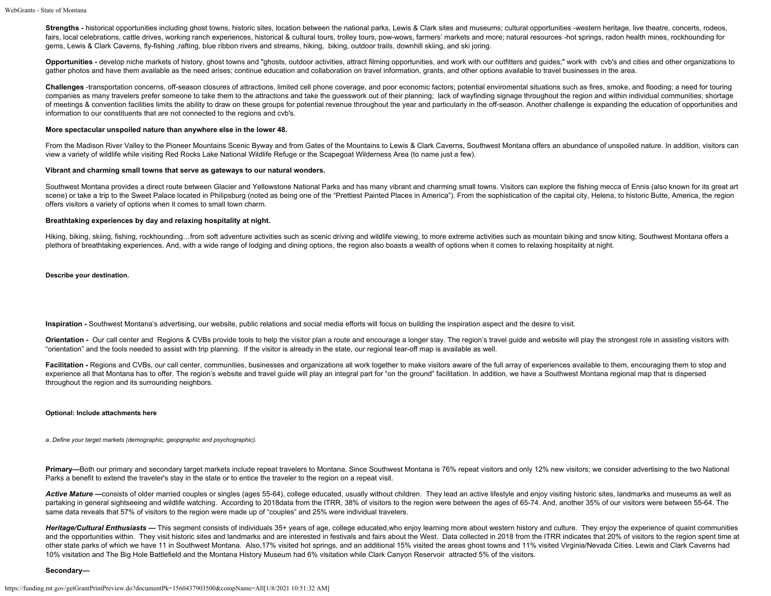Strengths - historical opportunities including ghost towns, historic sites, location between the national parks, Lewis & Clark sites and museums; cultural opportunities -western heritage, live theatre, concerts, rodeos, fairs, local celebrations, cattle drives, working ranch experiences, historical & cultural tours, trolley tours, pow-wows, farmers' markets and more; natural resources -hot springs, radon health mines, rockhounding for gems, Lewis & Clark Caverns, fly-fishing ,rafting, blue ribbon rivers and streams, hiking, biking, outdoor trails, downhill skiing, and ski joring.

Opportunities - develop niche markets of history, ghost towns and "ghosts, outdoor activities, attract filming opportunities, and work with our outfitters and quides;" work with cvb's and cities and other organizations to gather photos and have them available as the need arises; continue education and collaboration on travel information, grants, and other options available to travel businesses in the area.

**Challenges** -transportation concerns, off-season closures of attractions, limited cell phone coverage, and poor economic factors; potential enviromental situations such as fires, smoke, and flooding; a need for touring companies as many travelers prefer someone to take them to the attractions and take the guesswork out of their planning; lack of wayfinding signage throughout the region and within individual communities; shortage of meetings & convention facilities limits the ability to draw on these groups for potential revenue throughout the year and particularly in the off-season. Another challenge is expanding the education of opportunities and information to our constituents that are not connected to the regions and cvb's.

## **More spectacular unspoiled nature than anywhere else in the lower 48.**

From the Madison River Valley to the Pioneer Mountains Scenic Byway and from Gates of the Mountains to Lewis & Clark Caverns, Southwest Montana offers an abundance of unspoiled nature. In addition, visitors can view a variety of wildlife while visiting Red Rocks Lake National Wildlife Refuge or the Scapegoat Wilderness Area (to name just a few).

## **Vibrant and charming small towns that serve as gateways to our natural wonders.**

Southwest Montana provides a direct route between Glacier and Yellowstone National Parks and has many vibrant and charming small towns. Visitors can explore the fishing mecca of Ennis (also known for its great art scene) or take a trip to the Sweet Palace located in Philipsburg (noted as being one of the "Prettiest Painted Places in America"). From the sophistication of the capital city, Helena, to historic Butte, America, the regio offers visitors a variety of options when it comes to small town charm.

## **Breathtaking experiences by day and relaxing hospitality at night.**

Hiking, biking, skiing, fishing, rockhounding…from soft adventure activities such as scenic driving and wildlife viewing, to more extreme activities such as mountain biking and snow kiting, Southwest Montana offers a plethora of breathtaking experiences. And, with a wide range of lodging and dining options, the region also boasts a wealth of options when it comes to relaxing hospitality at night.

**Describe your destination.**

**Inspiration -** Southwest Montana's advertising, our website, public relations and social media efforts will focus on building the inspiration aspect and the desire to visit.

Orientation - Our call center and Regions & CVBs provide tools to help the visitor plan a route and encourage a longer stay. The region's travel quide and website will play the strongest role in assisting visitors with "orientation" and the tools needed to assist with trip planning. If the visitor is already in the state, our regional tear-off map is available as well.

Facilitation - Regions and CVBs, our call center, communities, businesses and organizations all work together to make visitors aware of the full array of experiences available to them, encouraging them to stop and experience all that Montana has to offer. The region's website and travel guide will play an integral part for "on the ground" facilitation. In addition, we have a Southwest Montana regional map that is dispersed throughout the region and its surrounding neighbors.

## **Optional: Include attachments here**

*a. Define your target markets (demographic, geopgraphic and psychographic).*

Primary—Both our primary and secondary target markets include repeat travelers to Montana. Since Southwest Montana is 76% repeat visitors and only 12% new visitors; we consider advertising to the two National Parks a benefit to extend the traveler's stay in the state or to entice the traveler to the region on a repeat visit.

Active Mature —consists of older married couples or singles (ages 55-64), college educated, usually without children. They lead an active lifestyle and enjoy visiting historic sites, landmarks and museums as well as partaking in general sightseeing and wildlife watching. According to 2018data from the ITRR, 38% of visitors to the region were between the ages of 65-74. And, another 35% of our visitors were between 55-64. The same data reveals that 57% of visitors to the region were made up of "couples" and 25% were individual travelers.

Heritage/Cultural Enthusiasts — This segment consists of individuals 35+ years of age, college educated,who enjoy learning more about western history and culture. They enjoy the experience of quaint communities and the opportunities within. They visit historic sites and landmarks and are interested in festivals and fairs about the West. Data collected in 2018 from the ITRR indicates that 20% of visitors to the region spent time a other state parks of which we have 11 in Southwest Montana. Also,17% visited hot springs, and an additional 15% visited the areas ghost towns and 11% visited Virginia/Nevada Cities. Lewis and Clark Caverns had 10% visitation and The Big Hole Battlefield and the Montana History Museum had 6% visitation while Clark Canyon Reservoir attracted 5% of the visitors.

## **Secondary—**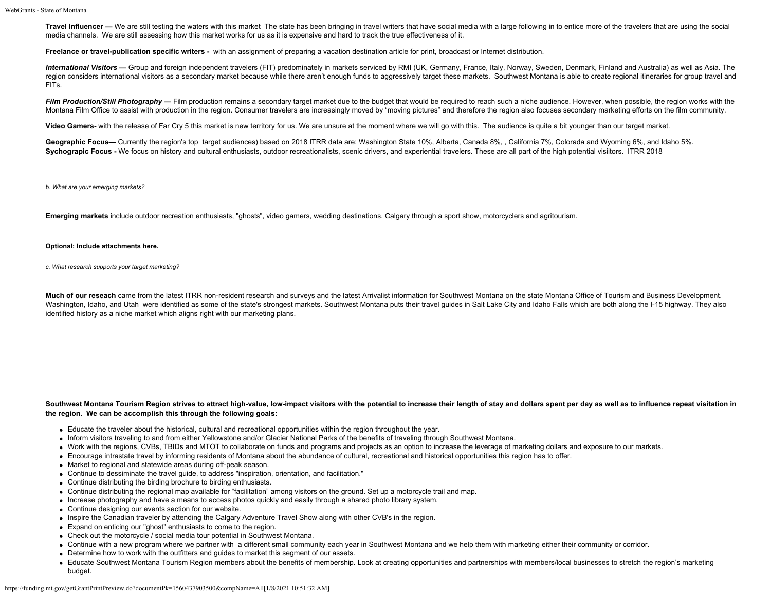Travel Influencer - We are still testing the waters with this market The state has been bringing in travel writers that have social media with a large following in to entice more of the travelers that are using the social media channels. We are still assessing how this market works for us as it is expensive and hard to track the true effectiveness of it.

**Freelance or travel-publication specific writers -** with an assignment of preparing a vacation destination article for print, broadcast or Internet distribution.

International Visitors - Group and foreign independent travelers (FIT) predominately in markets serviced by RMI (UK, Germany, France, Italy, Norway, Sweden, Denmark, Finland and Australia) as well as Asia. The region considers international visitors as a secondary market because while there aren't enough funds to aggressively target these markets. Southwest Montana is able to create regional itineraries for group travel and FITs.

**Film Production/Still Photography —** Film production remains a secondary target market due to the budget that would be required to reach such a niche audience. However, when possible, the region works with the Montana Film Office to assist with production in the region. Consumer travelers are increasingly moved by "moving pictures" and therefore the region also focuses secondary marketing efforts on the film community.

**Video Gamers-** with the release of Far Cry 5 this market is new territory for us. We are unsure at the moment where we will go with this. The audience is quite a bit younger than our target market.

Geographic Focus— Currently the region's top target audiences) based on 2018 ITRR data are: Washington State 10%, Alberta, Canada 8%, , California 7%, Colorada and Wyoming 6%, and Idaho 5%. Sychograpic Focus - We focus on history and cultural enthusiasts, outdoor recreationalists, scenic drivers, and experiential travelers. These are all part of the high potential visiitors. ITRR 2018

*b. What are your emerging markets?*

**Emerging markets** include outdoor recreation enthusiasts, "ghosts", video gamers, wedding destinations, Calgary through a sport show, motorcyclers and agritourism.

#### **Optional: Include attachments here.**

*c. What research supports your target marketing?*

**Much of our reseach** came from the latest ITRR non-resident research and surveys and the latest Arrivalist information for Southwest Montana on the state Montana Office of Tourism and Business Development. Washington, Idaho, and Utah were identified as some of the state's strongest markets. Southwest Montana puts their travel guides in Salt Lake City and Idaho Falls which are both along the I-15 highway. They also identified history as a niche market which aligns right with our marketing plans.

**Southwest Montana Tourism Region strives to attract high-value, low-impact visitors with the potential to increase their length of stay and dollars spent per day as well as to influence repeat visitation in the region. We can be accomplish this through the following goals:**

- Educate the traveler about the historical, cultural and recreational opportunities within the region throughout the year.
- Inform visitors traveling to and from either Yellowstone and/or Glacier National Parks of the benefits of traveling through Southwest Montana.
- Work with the regions, CVBs, TBIDs and MTOT to collaborate on funds and programs and projects as an option to increase the leverage of marketing dollars and exposure to our markets.
- Encourage intrastate travel by informing residents of Montana about the abundance of cultural, recreational and historical opportunities this region has to offer.
- Market to regional and statewide areas during off-peak season.
- Continue to dessiminate the travel guide, to address "inspiration, orientation, and facilitation."
- Continue distributing the birding brochure to birding enthusiasts.
- Continue distributing the regional map available for "facilitation" among visitors on the ground. Set up a motorcycle trail and map.
- Increase photography and have a means to access photos quickly and easily through a shared photo library system.
- Continue designing our events section for our website.
- Inspire the Canadian traveler by attending the Calgary Adventure Travel Show along with other CVB's in the region.
- Expand on enticing our "ghost" enthusiasts to come to the region.
- Check out the motorcycle / social media tour potential in Southwest Montana.
- Continue with a new program where we partner with a different small community each year in Southwest Montana and we help them with marketing either their community or corridor.
- Determine how to work with the outfitters and guides to market this segment of our assets.
- Educate Southwest Montana Tourism Region members about the benefits of membership. Look at creating opportunities and partnerships with members/local businesses to stretch the region's marketing budget.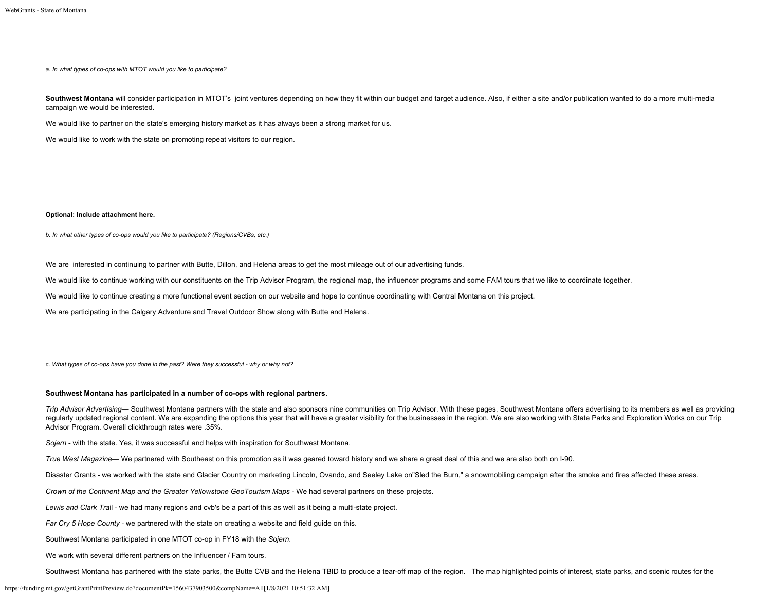*a. In what types of co-ops with MTOT would you like to participate?*

Southwest Montana will consider participation in MTOT's joint ventures depending on how they fit within our budget and target audience. Also, if either a site and/or publication wanted to do a more multi-media campaign we would be interested.

We would like to partner on the state's emerging history market as it has always been a strong market for us.

We would like to work with the state on promoting repeat visitors to our region.

#### **Optional: Include attachment here.**

*b. In what other types of co-ops would you like to participate? (Regions/CVBs, etc.)*

We are interested in continuing to partner with Butte, Dillon, and Helena areas to get the most mileage out of our advertising funds.

We would like to continue working with our constituents on the Trip Advisor Program, the regional map, the influencer programs and some FAM tours that we like to coordinate together.

We would like to continue creating a more functional event section on our website and hope to continue coordinating with Central Montana on this project.

We are participating in the Calgary Adventure and Travel Outdoor Show along with Butte and Helena.

*c. What types of co-ops have you done in the past? Were they successful - why or why not?*

#### **Southwest Montana has participated in a number of co-ops with regional partners.**

*Trip Advisor Advertising—* Southwest Montana partners with the state and also sponsors nine communities on Trip Advisor. With these pages, Southwest Montana offers advertising to its members as well as providing regularly updated regional content. We are expanding the options this year that will have a greater visibility for the businesses in the region. We are also working with State Parks and Exploration Works on our Trip Advisor Program. Overall clickthrough rates were .35%.

*Sojern* - with the state. Yes, it was successful and helps with inspiration for Southwest Montana.

*True West Magazine—* We partnered with Southeast on this promotion as it was geared toward history and we share a great deal of this and we are also both on I-90.

Disaster Grants - we worked with the state and Glacier Country on marketing Lincoln, Ovando, and Seeley Lake on"Sled the Burn," a snowmobiling campaign after the smoke and fires affected these areas.

*Crown of the Continent Map and the Greater Yellowstone GeoTourism Maps* - We had several partners on these projects.

*Lewis and Clark Tra*il - we had many regions and cvb's be a part of this as well as it being a multi-state project.

*Far Cry 5 Hope County* - we partnered with the state on creating a website and field guide on this.

Southwest Montana participated in one MTOT co-op in FY18 with the *Sojern*.

We work with several different partners on the Influencer / Fam tours.

Southwest Montana has partnered with the state parks, the Butte CVB and the Helena TBID to produce a tear-off map of the region. The map highlighted points of interest, state parks, and scenic routes for the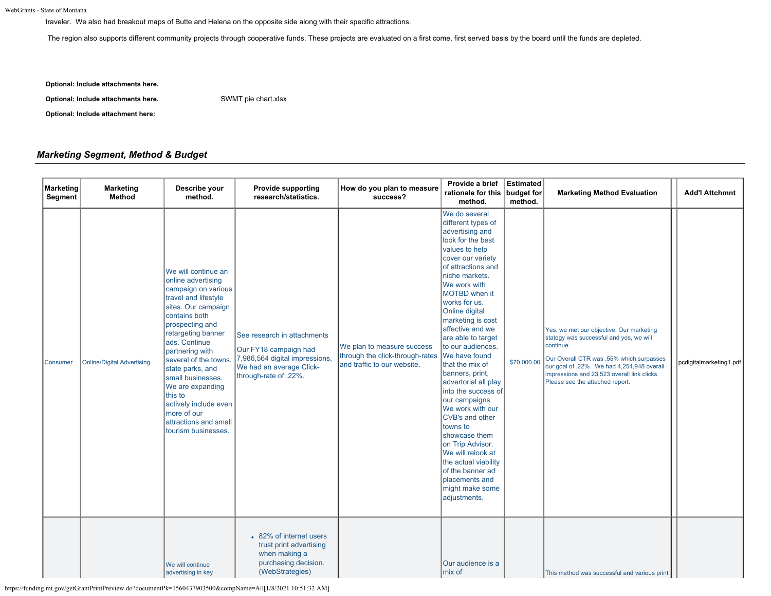traveler. We also had breakout maps of Butte and Helena on the opposite side along with their specific attractions.

The region also supports different community projects through cooperative funds. These projects are evaluated on a first come, first served basis by the board until the funds are depleted.

**Optional: Include attachments here.**

**Optional: Include attachments here.** [SWMT pie chart.xlsx](https://funding.mt.gov/fileDownload.jsp?filename=1557864981885_SWMT+pie+chart.xlsx)

## **Optional: Include attachment here:**

# *Marketing Segment, Method & Budget*

| Marketing<br>Segment | <b>Marketing</b><br><b>Method</b> | Describe your<br>method.                                                                                                                                                                                                                                                                                                                                                                              | <b>Provide supporting</b><br>research/statistics.                                                                                           | How do you plan to measure<br>success?                                                       | Provide a brief<br>rationale for this budget for<br>method.                                                                                                                                                                                                                                                                                                                                                                                                                                                                                                                                                                                                            | Estimated<br>method. | <b>Marketing Method Evaluation</b>                                                                                                                                                                                                                                           | <b>Add'l Attchmnt</b>   |
|----------------------|-----------------------------------|-------------------------------------------------------------------------------------------------------------------------------------------------------------------------------------------------------------------------------------------------------------------------------------------------------------------------------------------------------------------------------------------------------|---------------------------------------------------------------------------------------------------------------------------------------------|----------------------------------------------------------------------------------------------|------------------------------------------------------------------------------------------------------------------------------------------------------------------------------------------------------------------------------------------------------------------------------------------------------------------------------------------------------------------------------------------------------------------------------------------------------------------------------------------------------------------------------------------------------------------------------------------------------------------------------------------------------------------------|----------------------|------------------------------------------------------------------------------------------------------------------------------------------------------------------------------------------------------------------------------------------------------------------------------|-------------------------|
| Consumer             | <b>Online/Digital Advertising</b> | We will continue an<br>online advertising<br>campaign on various<br>travel and lifestyle<br>sites. Our campaign<br>contains both<br>prospecting and<br>retargeting banner<br>ads. Continue<br>partnering with<br>several of the towns<br>state parks, and<br>small businesses.<br>We are expanding<br>this to<br>actively include even<br>more of our<br>attractions and small<br>tourism businesses. | See research in attachments<br>Our FY18 campaign had<br>7,986,564 digital impressions,<br>We had an average Click-<br>through-rate of .22%. | We plan to measure success<br>through the click-through-rates<br>and traffic to our website. | We do several<br>different types of<br>advertising and<br>look for the best<br>values to help<br>cover our variety<br>of attractions and<br>niche markets.<br>We work with<br><b>MOTBD</b> when it<br>works for us.<br>Online digital<br>marketing is cost<br>affective and we<br>are able to target<br>to our audiences.<br>We have found<br>that the mix of<br>banners, print,<br>advertorial all play<br>into the success of<br>our campaigns.<br>We work with our<br><b>CVB's and other</b><br>towns to<br>showcase them<br>on Trip Advisor.<br>We will relook at<br>the actual viability<br>of the banner ad<br>placements and<br>might make some<br>adjustments. | \$70,000.00          | Yes, we met our objective. Our marketing<br>stategy was successful and yes, we will<br>continue.<br>Our Overall CTR was .55% which surpasses<br>our goal of .22%. We had 4,254,948 overall<br>impressions and 23,523 overall link clicks.<br>Please see the attached report. | pcdigitalmarketing1.pdf |
|                      |                                   | We will continue<br>advertising in key                                                                                                                                                                                                                                                                                                                                                                | • 82% of internet users<br>trust print advertising<br>when making a<br>purchasing decision.<br>(WebStrategies)                              |                                                                                              | Our audience is a<br>mix of                                                                                                                                                                                                                                                                                                                                                                                                                                                                                                                                                                                                                                            |                      | This method was successful and various print                                                                                                                                                                                                                                 |                         |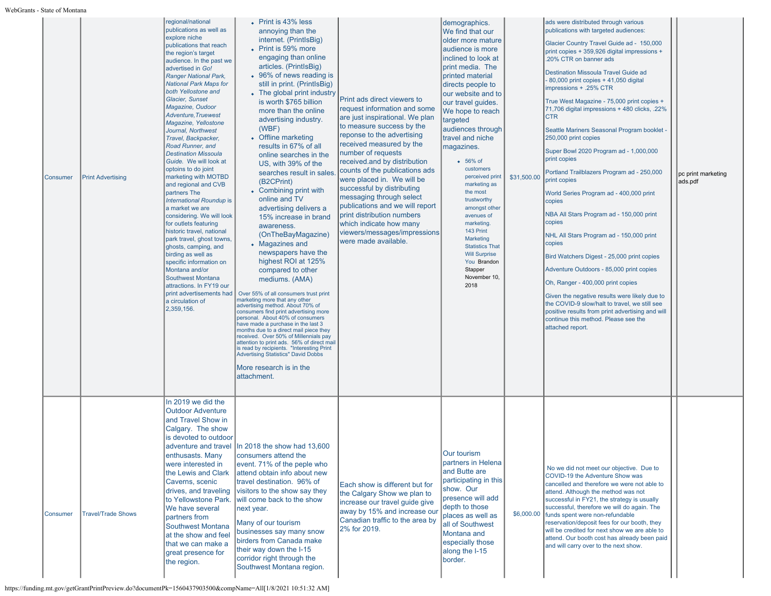| Consumer | <b>Print Advertising</b>  | regional/national<br>publications as well as<br>explore niche<br>publications that reach<br>the region's target<br>audience. In the past we<br>advertised in Go!<br><b>Ranger National Park,</b><br><b>National Park Maps for</b><br>both Yellostone and<br><b>Glacier, Sunset</b><br>Magazine, Oudoor<br><b>Adventure, Truewest</b><br>Magazine, Yellostone<br>Journal, Northwest<br>Travel, Backpacker,<br>Road Runner, and<br><b>Destination Missoula</b><br>Guide. We will look at<br>optoins to do joint<br>marketing with MOTBD<br>and regional and CVB<br>partners The<br>International Roundup is<br>a market we are<br>considering. We will look<br>for outlets featuring<br>historic travel, national<br>park travel, ghost towns,<br>ghosts, camping, and<br>birding as well as<br>specific information on<br>Montana and/or<br><b>Southwest Montana</b><br>attractions. In FY19 our<br>print advertisements had<br>a circulation of<br>2,359,156. | • Print is 43% less<br>annoying than the<br>internet. (PrintlsBig)<br>• Print is 59% more<br>engaging than online<br>articles. (PrintlsBig)<br>• 96% of news reading is<br>still in print. (PrintlsBig)<br>• The global print industry<br>is worth \$765 billion<br>more than the online<br>advertising industry.<br>(WBF)<br>• Offline marketing<br>results in 67% of all<br>online searches in the<br>US, with 39% of the<br>searches result in sales<br>(B2CPrint)<br>• Combining print with<br>online and TV<br>advertising delivers a<br>15% increase in brand<br>awareness.<br>(OnTheBayMagazine)<br>• Magazines and<br>newspapers have the<br>highest ROI at 125%<br>compared to other<br>mediums. (AMA)<br>Over 55% of all consumers trust print<br>marketing more that any other<br>advertising method. About 70% of<br>consumers find print advertising more<br>personal. About 40% of consumers<br>have made a purchase in the last 3<br>months due to a direct mail piece they<br>received. Over 50% of Millennials pay<br>attention to print ads. 56% of direct mail<br>is read by recipients. "Interesting Print<br><b>Advertising Statistics" David Dobbs</b><br>More research is in the<br>attachment. | Print ads direct viewers to<br>request information and some<br>are just inspirational. We plan<br>to measure success by the<br>reponse to the advertising<br>received measured by the<br>number of requests<br>received.and by distribution<br>counts of the publications ads<br>were placed in. We will be<br>successful by distributing<br>messaging through select<br>publications and we will report<br>print distribution numbers<br>which indicate how many<br>viewers/messages/impressions<br>were made available. | demographics.<br>We find that our<br>older more mature<br>audience is more<br>inclined to look at<br>print media. The<br>printed material<br>directs people to<br>our website and to<br>our travel guides.<br>We hope to reach<br>targeted<br>audiences through<br>travel and niche<br>magazines.<br>• 56% of<br>customers<br>perceived print<br>marketing as<br>the most<br>trustworthy<br>amongst other<br>avenues of<br>marketing.<br>143 Print<br>Marketing<br><b>Statistics That</b><br><b>Will Surprise</b><br>You Brandon<br>Stapper<br>November 10,<br>2018 | \$31,500.00 | ads were distributed through various<br>publications with targeted audiences:<br>Glacier Country Travel Guide ad - 150,000<br>print copies + 359,926 digital impressions +<br>.20% CTR on banner ads<br>Destination Missoula Travel Guide ad<br>- 80,000 print copies + 41,050 digital<br>impressions + .25% CTR<br>True West Magazine - 75,000 print copies +<br>71,706 digital impressions + 480 clicks, .22%<br><b>CTR</b><br>Seattle Mariners Seasonal Program booklet -<br>250,000 print copies<br>Super Bowl 2020 Program ad - 1,000,000<br>print copies<br>Portland Trailblazers Program ad - 250,000<br>print copies<br>World Series Program ad - 400,000 print<br>copies<br>NBA All Stars Program ad - 150,000 print<br>copies<br>NHL All Stars Program ad - 150,000 print<br>copies<br>Bird Watchers Digest - 25,000 print copies<br>Adventure Outdoors - 85,000 print copies<br>Oh, Ranger - 400,000 print copies<br>Given the negative results were likely due to<br>the COVID-9 slow/halt to travel, we still see<br>positive results from print advertising and will<br>continue this method. Please see the<br>attached report. | pc print marketing<br>ads.pdf |
|----------|---------------------------|---------------------------------------------------------------------------------------------------------------------------------------------------------------------------------------------------------------------------------------------------------------------------------------------------------------------------------------------------------------------------------------------------------------------------------------------------------------------------------------------------------------------------------------------------------------------------------------------------------------------------------------------------------------------------------------------------------------------------------------------------------------------------------------------------------------------------------------------------------------------------------------------------------------------------------------------------------------|------------------------------------------------------------------------------------------------------------------------------------------------------------------------------------------------------------------------------------------------------------------------------------------------------------------------------------------------------------------------------------------------------------------------------------------------------------------------------------------------------------------------------------------------------------------------------------------------------------------------------------------------------------------------------------------------------------------------------------------------------------------------------------------------------------------------------------------------------------------------------------------------------------------------------------------------------------------------------------------------------------------------------------------------------------------------------------------------------------------------------------------------------------------------------------------------------------------------|---------------------------------------------------------------------------------------------------------------------------------------------------------------------------------------------------------------------------------------------------------------------------------------------------------------------------------------------------------------------------------------------------------------------------------------------------------------------------------------------------------------------------|---------------------------------------------------------------------------------------------------------------------------------------------------------------------------------------------------------------------------------------------------------------------------------------------------------------------------------------------------------------------------------------------------------------------------------------------------------------------------------------------------------------------------------------------------------------------|-------------|------------------------------------------------------------------------------------------------------------------------------------------------------------------------------------------------------------------------------------------------------------------------------------------------------------------------------------------------------------------------------------------------------------------------------------------------------------------------------------------------------------------------------------------------------------------------------------------------------------------------------------------------------------------------------------------------------------------------------------------------------------------------------------------------------------------------------------------------------------------------------------------------------------------------------------------------------------------------------------------------------------------------------------------------------------------------------------------------------------------------------------------------|-------------------------------|
| Consumer | <b>Travel/Trade Shows</b> | In 2019 we did the<br><b>Outdoor Adventure</b><br>and Travel Show in<br>Calgary. The show<br>is devoted to outdoor<br>enthusasts. Many<br>were interested in<br>Caverns, scenic<br>We have several<br>partners from<br><b>Southwest Montana</b><br>at the show and feel<br>that we can make a<br>great presence for<br>the region.                                                                                                                                                                                                                                                                                                                                                                                                                                                                                                                                                                                                                            | adventure and travel In 2018 the show had 13,600<br>Iconsumers attend the<br>event. 71% of the peple who<br>the Lewis and Clark attend obtain info about new<br>travel destination. 96% of<br>drives, and traveling visitors to the show say they<br>to Yellowstone Park. will come back to the show<br>next year.<br>Many of our tourism<br>businesses say many snow<br>birders from Canada make<br>their way down the I-15<br>corridor right through the<br>Southwest Montana region.                                                                                                                                                                                                                                                                                                                                                                                                                                                                                                                                                                                                                                                                                                                                | Each show is different but for<br>the Calgary Show we plan to<br>increase our travel quide give<br>away by 15% and increase our<br>Canadian traffic to the area by<br>2% for 2019.                                                                                                                                                                                                                                                                                                                                        | Our tourism<br>partners in Helena<br>and Butte are<br>participating in this<br>show. Our<br>presence will add<br>depth to those<br>places as well as<br>all of Southwest<br>Montana and<br>especially those<br>along the I-15<br>border.                                                                                                                                                                                                                                                                                                                            | \$6,000.00  | No we did not meet our objective. Due to<br>COVID-19 the Adventure Show was<br>cancelled and therefore we were not able to<br>attend. Although the method was not<br>successful in FY21, the strategy is usually<br>successful, therefore we will do again. The<br>funds spent were non-refundable<br>reservation/deposit fees for our booth, they<br>will be credited for next show we are able to<br>attend. Our booth cost has already been paid<br>and will carry over to the next show.                                                                                                                                                                                                                                                                                                                                                                                                                                                                                                                                                                                                                                                   |                               |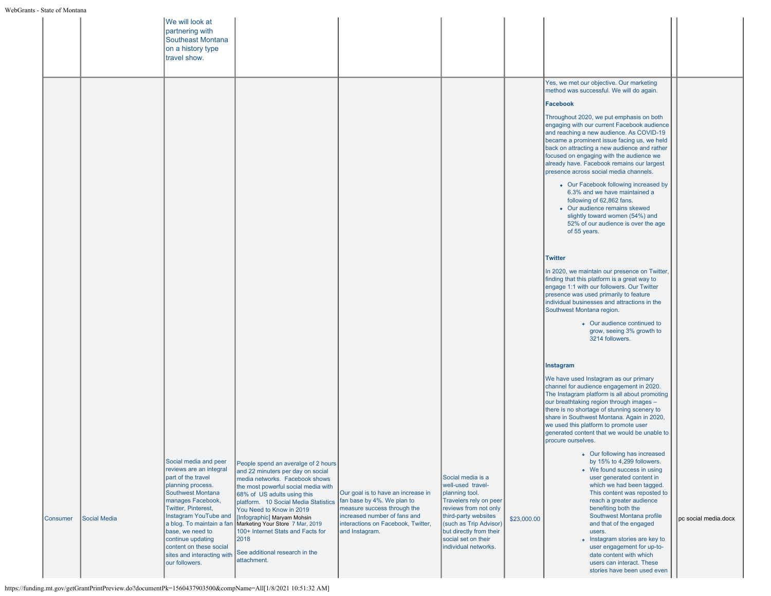|          |                     | We will look at<br>partnering with<br>Southeast Montana<br>on a history type<br>travel show.                                                                                                                                                                                                                     |                                                                                                                                                                                                                                                                                                                                                                                                                                                                                   |                                                                                                                                                                                         |                                                                                                                                                                                                                                         |             |                                                                                                                                                                                                                                                                                                                                                                                                                                                                                                                                                                                                                                                                                                                                                                                                                                                                                                                                                                                                                                                                                                                                                                                                                                                                                                                                                                                                                          |                      |
|----------|---------------------|------------------------------------------------------------------------------------------------------------------------------------------------------------------------------------------------------------------------------------------------------------------------------------------------------------------|-----------------------------------------------------------------------------------------------------------------------------------------------------------------------------------------------------------------------------------------------------------------------------------------------------------------------------------------------------------------------------------------------------------------------------------------------------------------------------------|-----------------------------------------------------------------------------------------------------------------------------------------------------------------------------------------|-----------------------------------------------------------------------------------------------------------------------------------------------------------------------------------------------------------------------------------------|-------------|--------------------------------------------------------------------------------------------------------------------------------------------------------------------------------------------------------------------------------------------------------------------------------------------------------------------------------------------------------------------------------------------------------------------------------------------------------------------------------------------------------------------------------------------------------------------------------------------------------------------------------------------------------------------------------------------------------------------------------------------------------------------------------------------------------------------------------------------------------------------------------------------------------------------------------------------------------------------------------------------------------------------------------------------------------------------------------------------------------------------------------------------------------------------------------------------------------------------------------------------------------------------------------------------------------------------------------------------------------------------------------------------------------------------------|----------------------|
|          |                     |                                                                                                                                                                                                                                                                                                                  |                                                                                                                                                                                                                                                                                                                                                                                                                                                                                   |                                                                                                                                                                                         |                                                                                                                                                                                                                                         |             | Yes, we met our objective. Our marketing<br>method was successful. We will do again.<br>Facebook<br>Throughout 2020, we put emphasis on both<br>engaging with our current Facebook audience<br>and reaching a new audience. As COVID-19<br>became a prominent issue facing us, we held<br>back on attracting a new audience and rather<br>focused on engaging with the audience we<br>already have. Facebook remains our largest<br>presence across social media channels.<br>• Our Facebook following increased by<br>6.3% and we have maintained a<br>following of 62,862 fans.<br>• Our audience remains skewed<br>slightly toward women (54%) and<br>52% of our audience is over the age<br>of 55 years.<br><b>Twitter</b><br>In 2020, we maintain our presence on Twitter,<br>finding that this platform is a great way to<br>engage 1:1 with our followers. Our Twitter<br>presence was used primarily to feature<br>individual businesses and attractions in the<br>Southwest Montana region.<br>• Our audience continued to<br>grow, seeing 3% growth to<br>3214 followers.<br>Instagram<br>We have used Instagram as our primary<br>channel for audience engagement in 2020.<br>The Instagram platform is all about promoting<br>our breathtaking region through images -<br>there is no shortage of stunning scenery to<br>share in Southwest Montana. Again in 2020,<br>we used this platform to promote user |                      |
| Consumer | <b>Social Media</b> | Social media and peer<br>reviews are an integral<br>part of the travel<br>planning process.<br><b>Southwest Montana</b><br>manages Facebook,<br>Twitter, Pinterest,<br>Instagram YouTube and<br>base, we need to<br>continue updating<br>content on these social<br>sites and interacting with<br>our followers. | People spend an averalge of 2 hours<br>and 22 minuters per day on social<br>media networks. Facebook shows<br>the most powerful social media with<br>68% of US adults using this<br>platform. 10 Social Media Statistics<br>You Need to Know in 2019<br> Instagram YouTube and   Infographic] Maryam Mohsin<br> a blog. To maintain a fan <b>  Marketing Your Store</b> 7 Mar, 2019<br>100+ Internet Stats and Facts for<br>2018<br>See additional research in the<br>attachment. | Our goal is to have an increase in<br>fan base by 4%. We plan to<br>measure success through the<br>increased number of fans and<br>interactions on Facebook, Twitter,<br>and Instagram. | Social media is a<br>well-used travel-<br>planning tool.<br>Travelers rely on peer<br>reviews from not only<br>third-party websites<br>(such as Trip Advisor)<br>but directly from their<br>social set on their<br>individual networks. | \$23,000.00 | generated content that we would be unable to<br>procure ourselves.<br>o Our following has increased<br>by 15% to 4,299 followers.<br>• We found success in using<br>user generated content in<br>which we had been tagged.<br>This content was reposted to<br>reach a greater audience<br>benefiting both the<br>Southwest Montana profile<br>and that of the engaged<br>users.<br>• Instagram stories are key to<br>user engagement for up-to-<br>date content with which<br>users can interact. These<br>stories have been used even                                                                                                                                                                                                                                                                                                                                                                                                                                                                                                                                                                                                                                                                                                                                                                                                                                                                                   | pc social media.docx |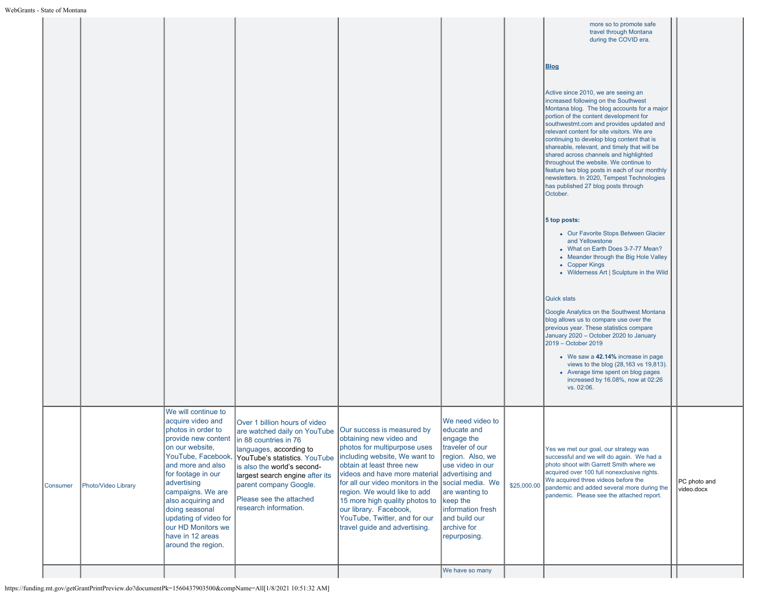| - State of Montana |                     |                                                                                                                                                                                                                                                                                                                                                |                                                                                                                                                                                                                                                                                                    |                                                                                                                                                                                                                                                                                                                                                                                                                          |                                                                                                                                                                                                                     |             |                                                                                                                                                                                                                                                                                                                                                                                                                                                                                                                                                                                                                                                                                                                                                                                                                                                                                                                                                                                                                                                                                                                                                                                                                                                                                                                         |                            |
|--------------------|---------------------|------------------------------------------------------------------------------------------------------------------------------------------------------------------------------------------------------------------------------------------------------------------------------------------------------------------------------------------------|----------------------------------------------------------------------------------------------------------------------------------------------------------------------------------------------------------------------------------------------------------------------------------------------------|--------------------------------------------------------------------------------------------------------------------------------------------------------------------------------------------------------------------------------------------------------------------------------------------------------------------------------------------------------------------------------------------------------------------------|---------------------------------------------------------------------------------------------------------------------------------------------------------------------------------------------------------------------|-------------|-------------------------------------------------------------------------------------------------------------------------------------------------------------------------------------------------------------------------------------------------------------------------------------------------------------------------------------------------------------------------------------------------------------------------------------------------------------------------------------------------------------------------------------------------------------------------------------------------------------------------------------------------------------------------------------------------------------------------------------------------------------------------------------------------------------------------------------------------------------------------------------------------------------------------------------------------------------------------------------------------------------------------------------------------------------------------------------------------------------------------------------------------------------------------------------------------------------------------------------------------------------------------------------------------------------------------|----------------------------|
|                    |                     |                                                                                                                                                                                                                                                                                                                                                |                                                                                                                                                                                                                                                                                                    |                                                                                                                                                                                                                                                                                                                                                                                                                          |                                                                                                                                                                                                                     |             | more so to promote safe<br>travel through Montana<br>during the COVID era.<br><b>Blog</b><br>Active since 2010, we are seeing an<br>increased following on the Southwest<br>Montana blog. The blog accounts for a major<br>portion of the content development for<br>southwestmt.com and provides updated and<br>relevant content for site visitors. We are<br>continuing to develop blog content that is<br>shareable, relevant, and timely that will be<br>shared across channels and highlighted<br>throughout the website. We continue to<br>feature two blog posts in each of our monthly<br>newsletters. In 2020, Tempest Technologies<br>has published 27 blog posts through<br>October.<br>5 top posts:<br>• Our Favorite Stops Between Glacier<br>and Yellowstone<br>• What on Earth Does 3-7-77 Mean?<br>• Meander through the Big Hole Valley<br>• Copper Kings<br>• Wilderness Art   Sculpture in the Wild<br><b>Quick stats</b><br>Google Analytics on the Southwest Montana<br>blog allows us to compare use over the<br>previous year. These statistics compare<br>January 2020 - October 2020 to January<br>2019 - October 2019<br>• We saw a 42.14% increase in page<br>views to the blog (28,163 vs 19,813).<br>• Average time spent on blog pages<br>increased by 16.08%, now at 02:26<br>vs. 02:06. |                            |
| Consumer           | Photo/Video Library | We will continue to<br>acquire video and<br>photos in order to<br>provide new content<br>on our website,<br>YouTube, Facebook,<br>and more and also<br>for footage in our<br>advertising<br>campaigns. We are<br>also acquiring and<br>doing seasonal<br>updating of video for<br>our HD Monitors we<br>have in 12 areas<br>around the region. | Over 1 billion hours of video<br>are watched daily on YouTube<br>in 88 countries in 76<br>languages, according to<br>YouTube's statistics. YouTube<br>is also the world's second-<br>largest search engine after its<br>parent company Google.<br>Please see the attached<br>research information. | Our success is measured by<br>obtaining new video and<br>photos for multipurpose uses<br>including website, We want to<br>obtain at least three new<br>videos and have more material advertising and<br>for all our video monitors in the social media. We<br>region. We would like to add<br>15 more high quality photos to<br>our library. Facebook,<br>YouTube, Twitter, and for our<br>travel guide and advertising. | We need video to<br>educate and<br>engage the<br>traveler of our<br>region. Also, we<br>use video in our<br>are wanting to<br>$\vert$ keep the<br>information fresh<br>and build our<br>archive for<br>repurposing. | \$25,000.00 | Yes we met our goal, our strategy was<br>successful and we will do again. We had a<br>photo shoot with Garrett Smith where we<br>acquired over 100 full nonexclusive rights.<br>We acquired three videos before the<br>pandemic and added several more during the<br>pandemic. Please see the attached report.                                                                                                                                                                                                                                                                                                                                                                                                                                                                                                                                                                                                                                                                                                                                                                                                                                                                                                                                                                                                          | PC photo and<br>video.docx |
|                    |                     |                                                                                                                                                                                                                                                                                                                                                |                                                                                                                                                                                                                                                                                                    |                                                                                                                                                                                                                                                                                                                                                                                                                          | We have so many                                                                                                                                                                                                     |             |                                                                                                                                                                                                                                                                                                                                                                                                                                                                                                                                                                                                                                                                                                                                                                                                                                                                                                                                                                                                                                                                                                                                                                                                                                                                                                                         |                            |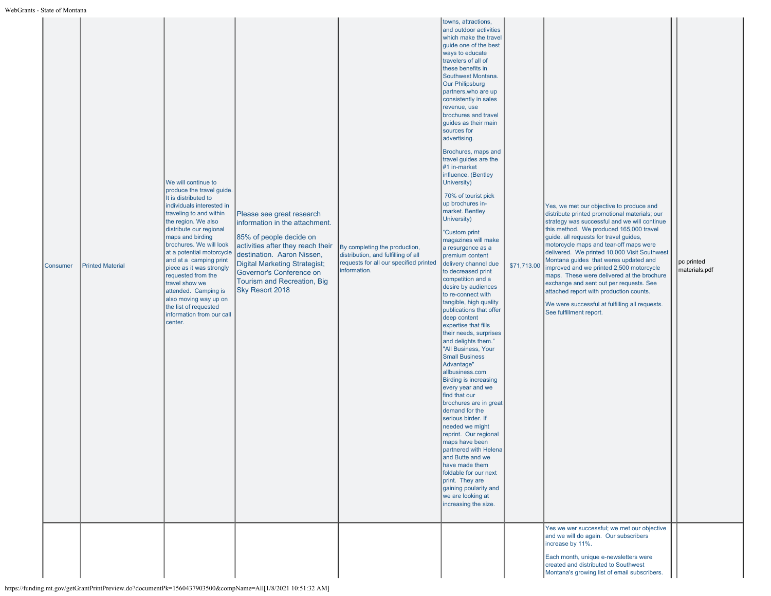| Consumer | <b>Printed Material</b> | We will continue to<br>produce the travel guide.<br>It is distributed to<br>individuals interested in<br>traveling to and within<br>the region. We also<br>distribute our regional<br>maps and birding<br>brochures. We will look<br>at a potential motorcycle<br>and at a camping print<br>piece as it was strongly<br>requested from the<br>travel show we<br>attended. Camping is<br>also moving way up on<br>the list of requested<br>information from our call<br>center. | Please see great research<br>information in the attachment.<br>85% of people decide on<br>activities after they reach their<br>destination. Aaron Nissen,<br>Digital Marketing Strategist;<br>Governor's Conference on<br>Tourism and Recreation, Big<br>Sky Resort 2018 | By completing the production,<br>distribution, and fulfilling of all<br>requests for all our specified printed<br>information. | towns, attractions,<br>and outdoor activities<br>which make the travel<br>quide one of the best<br>ways to educate<br>travelers of all of<br>these benefits in<br>Southwest Montana.<br><b>Our Philipsburg</b><br>partners, who are up<br>consistently in sales<br>revenue, use<br>brochures and travel<br>quides as their main<br>sources for<br>advertising.<br>Brochures, maps and<br>travel guides are the<br>#1 in-market<br>influence. (Bentley<br>University)<br>70% of tourist pick<br>up brochures in-<br>market. Bentley<br>University)<br><b>'Custom print</b><br>magazines will make<br>a resurgence as a<br>premium content<br>delivery channel due<br>to decreased print<br>competition and a<br>desire by audiences<br>to re-connect with<br>tangible, high quality<br>publications that offer<br>deep content<br>expertise that fills<br>their needs, surprises<br>and delights them."<br>"All Business, Your<br><b>Small Business</b><br>Advantage"<br>allbusiness.com<br><b>Birding is increasing</b><br>every year and we<br>find that our<br>brochures are in great<br>demand for the<br>serious birder. If<br>needed we might<br>reprint. Our regional<br>maps have been<br>partnered with Helena<br>and Butte and we<br>have made them<br>foldable for our next<br>print. They are<br>gaining poularity and<br>we are looking at<br>increasing the size. | \$71,713.00 | Yes, we met our objective to produce and<br>distribute printed promotional materials; our<br>strategy was successful and we will continue<br>this method. We produced 165,000 travel<br>guide. all requests for travel guides,<br>motorcycle maps and tear-off maps were<br>delivered. We printed 10,000 Visit Southwest<br>Montana guides that weres updated and<br>improved and we printed 2,500 motorcycle<br>maps. These were delivered at the brochure<br>exchange and sent out per requests. See<br>attached report with production counts.<br>We were successful at fulfilling all requests.<br>See fulfillment report.<br>Yes we wer successful; we met our objective<br>and we will do again. Our subscribers | pc printed<br>materials.pdf |
|----------|-------------------------|--------------------------------------------------------------------------------------------------------------------------------------------------------------------------------------------------------------------------------------------------------------------------------------------------------------------------------------------------------------------------------------------------------------------------------------------------------------------------------|--------------------------------------------------------------------------------------------------------------------------------------------------------------------------------------------------------------------------------------------------------------------------|--------------------------------------------------------------------------------------------------------------------------------|--------------------------------------------------------------------------------------------------------------------------------------------------------------------------------------------------------------------------------------------------------------------------------------------------------------------------------------------------------------------------------------------------------------------------------------------------------------------------------------------------------------------------------------------------------------------------------------------------------------------------------------------------------------------------------------------------------------------------------------------------------------------------------------------------------------------------------------------------------------------------------------------------------------------------------------------------------------------------------------------------------------------------------------------------------------------------------------------------------------------------------------------------------------------------------------------------------------------------------------------------------------------------------------------------------------------------------------------------------------------------------|-------------|------------------------------------------------------------------------------------------------------------------------------------------------------------------------------------------------------------------------------------------------------------------------------------------------------------------------------------------------------------------------------------------------------------------------------------------------------------------------------------------------------------------------------------------------------------------------------------------------------------------------------------------------------------------------------------------------------------------------|-----------------------------|
|          |                         |                                                                                                                                                                                                                                                                                                                                                                                                                                                                                |                                                                                                                                                                                                                                                                          |                                                                                                                                |                                                                                                                                                                                                                                                                                                                                                                                                                                                                                                                                                                                                                                                                                                                                                                                                                                                                                                                                                                                                                                                                                                                                                                                                                                                                                                                                                                                |             | increase by 11%.<br>Each month, unique e-newsletters were<br>created and distributed to Southwest<br>Montana's growing list of email subscribers.                                                                                                                                                                                                                                                                                                                                                                                                                                                                                                                                                                      |                             |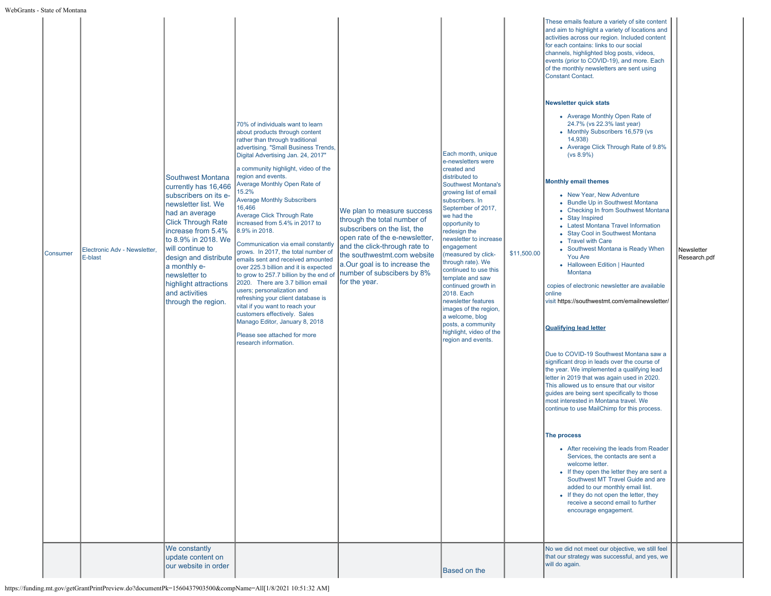| s - State of Montana |                                         |                                                                                                                                                                                                                                                                                                                                                           |                                                                                                                                                                                                                                                                                                                                                                                                                                                                                                                                                                                                                                                                                                                                                                                                                                                                                                                                     |                                                                                                                                                                                                                                                                             |                                                                                                                                                                                                                                                                                                                                                                                                                                                                                                                                    |             |                                                                                                                                                                                                                                                                                                                                                                                                                                                                                                                                                                                                                                                                                                                                                                                                                                                                                                                                                                                                                                                                                                                                                                                                                                                                                                                                                                                                                                                                                                                                                                                                                                                                                                                                                                                                                                                                                                               |                            |
|----------------------|-----------------------------------------|-----------------------------------------------------------------------------------------------------------------------------------------------------------------------------------------------------------------------------------------------------------------------------------------------------------------------------------------------------------|-------------------------------------------------------------------------------------------------------------------------------------------------------------------------------------------------------------------------------------------------------------------------------------------------------------------------------------------------------------------------------------------------------------------------------------------------------------------------------------------------------------------------------------------------------------------------------------------------------------------------------------------------------------------------------------------------------------------------------------------------------------------------------------------------------------------------------------------------------------------------------------------------------------------------------------|-----------------------------------------------------------------------------------------------------------------------------------------------------------------------------------------------------------------------------------------------------------------------------|------------------------------------------------------------------------------------------------------------------------------------------------------------------------------------------------------------------------------------------------------------------------------------------------------------------------------------------------------------------------------------------------------------------------------------------------------------------------------------------------------------------------------------|-------------|---------------------------------------------------------------------------------------------------------------------------------------------------------------------------------------------------------------------------------------------------------------------------------------------------------------------------------------------------------------------------------------------------------------------------------------------------------------------------------------------------------------------------------------------------------------------------------------------------------------------------------------------------------------------------------------------------------------------------------------------------------------------------------------------------------------------------------------------------------------------------------------------------------------------------------------------------------------------------------------------------------------------------------------------------------------------------------------------------------------------------------------------------------------------------------------------------------------------------------------------------------------------------------------------------------------------------------------------------------------------------------------------------------------------------------------------------------------------------------------------------------------------------------------------------------------------------------------------------------------------------------------------------------------------------------------------------------------------------------------------------------------------------------------------------------------------------------------------------------------------------------------------------------------|----------------------------|
| <b>Consumer</b>      | Electronic Adv - Newsletter,<br>E-blast | <b>Southwest Montana</b><br>currently has 16,466<br>subscribers on its e-<br>newsletter list. We<br>had an average<br><b>Click Through Rate</b><br>increase from 5.4%<br>to 8.9% in 2018. We<br>will continue to<br>a monthly e-<br>newsletter to<br>highlight attractions<br>and activities<br>through the region.<br>We constantly<br>update content on | 70% of individuals want to learn<br>about products through content<br>rather than through traditional<br>advertising. "Small Business Trends,<br>Digital Advertising Jan. 24, 2017"<br>a community highlight, video of the<br>region and events.<br>Average Monthly Open Rate of<br>15.2%<br><b>Average Monthly Subscribers</b><br>16,466<br><b>Average Click Through Rate</b><br>increased from 5.4% in 2017 to<br>8.9% in 2018.<br>Communication via email constantly<br>grows. In 2017, the total number of<br>design and distribute emails sent and received amounted<br>over 225.3 billion and it is expected<br>to grow to 257.7 billion by the end of<br>2020. There are 3.7 billion email<br>users; personalization and<br>refreshing your client database is<br>vital if you want to reach your<br>customers effectively. Sales<br>Manago Editor, January 8, 2018<br>Please see attached for more<br>research information. | We plan to measure success<br>through the total number of<br>subscribers on the list, the<br>open rate of the e-newsletter,<br>and the click-through rate to<br>the southwestmt.com website<br>a.Our goal is to increase the<br>number of subscibers by 8%<br>for the year. | Each month, unique<br>e-newsletters were<br>created and<br>distributed to<br>Southwest Montana's<br>growing list of email<br>subscribers. In<br>September of 2017,<br>we had the<br>opportunity to<br>redesign the<br>newsletter to increase<br>engagement<br>(measured by click-<br>through rate). We<br>continued to use this<br>template and saw<br>continued growth in<br>2018. Each<br>newsletter features<br>images of the region,<br>a welcome, blog<br>posts, a community<br>highlight, video of the<br>region and events. | \$11,500.00 | These emails feature a variety of site content<br>and aim to highlight a variety of locations and<br>activities across our region. Included content<br>for each contains: links to our social<br>channels, highlighted blog posts, videos,<br>events (prior to COVID-19), and more. Each<br>of the monthly newsletters are sent using<br><b>Constant Contact.</b><br><b>Newsletter quick stats</b><br>• Average Monthly Open Rate of<br>24.7% (vs 22.3% last year)<br>• Monthly Subscribers 16,579 (vs<br>14,938)<br>• Average Click Through Rate of 9.8%<br>(vs 8.9%)<br><b>Monthly email themes</b><br>• New Year, New Adventure<br>• Bundle Up in Southwest Montana<br>• Checking In from Southwest Montana<br>• Stay Inspired<br>• Latest Montana Travel Information<br>• Stay Cool in Southwest Montana<br>• Travel with Care<br>• Southwest Montana is Ready When<br>You Are<br>• Halloween Edition   Haunted<br>Montana<br>copies of electronic newsletter are available<br>online<br>visit https://southwestmt.com/emailnewsletter/<br><b>Qualifying lead letter</b><br>Due to COVID-19 Southwest Montana saw a<br>significant drop in leads over the course of<br>the year. We implemented a qualifying lead<br>letter in 2019 that was again used in 2020.<br>This allowed us to ensure that our visitor<br>guides are being sent specifically to those<br>most interested in Montana travel. We<br>continue to use MailChimp for this process.<br>The process<br>• After receiving the leads from Reader<br>Services, the contacts are sent a<br>welcome letter.<br>• If they open the letter they are sent a<br>Southwest MT Travel Guide and are<br>added to our monthly email list.<br>• If they do not open the letter, they<br>receive a second email to further<br>encourage engagement.<br>No we did not meet our objective, we still feel<br>that our strategy was successful, and yes, we | Newsletter<br>Research.pdf |
|                      |                                         | our website in order                                                                                                                                                                                                                                                                                                                                      |                                                                                                                                                                                                                                                                                                                                                                                                                                                                                                                                                                                                                                                                                                                                                                                                                                                                                                                                     |                                                                                                                                                                                                                                                                             | <b>Based on the</b>                                                                                                                                                                                                                                                                                                                                                                                                                                                                                                                |             | will do again.                                                                                                                                                                                                                                                                                                                                                                                                                                                                                                                                                                                                                                                                                                                                                                                                                                                                                                                                                                                                                                                                                                                                                                                                                                                                                                                                                                                                                                                                                                                                                                                                                                                                                                                                                                                                                                                                                                |                            |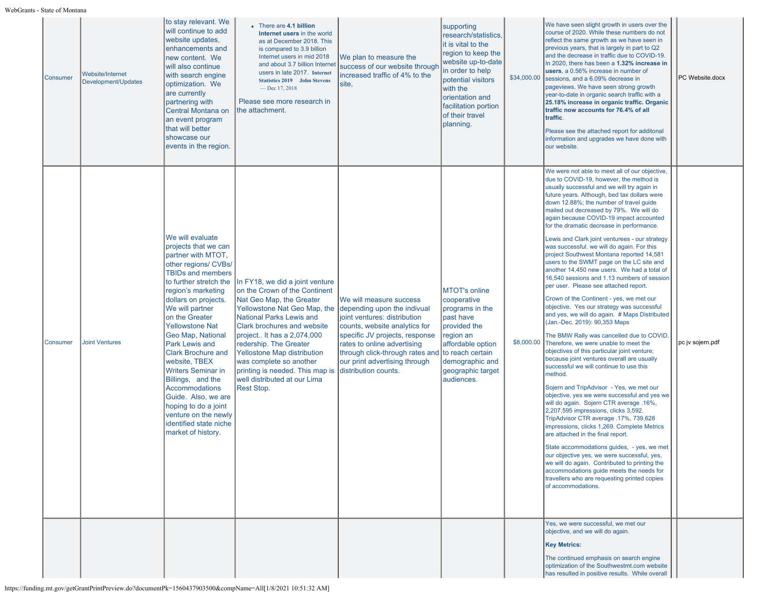| Consumer | Website/Internet<br>Development/Updates | to stay relevant. We<br>will continue to add<br>website updates,<br>enhancements and<br>new content. We<br>will also continue<br>with search engine<br>optimization. We<br>are currently<br>partnering with<br>Central Montana on<br>an event program<br>that will better<br>showcase our<br>events in the region.                                                                                                                                                                                                                               | • There are 4.1 billion<br>Internet users in the world<br>as at December 2018. This<br>is compared to 3.9 billion<br>Internet users in mid 2018<br>and about 3.7 billion Interne<br>users in late 2017. Internet<br><b>Statistics 2019</b> John Stevens<br>$-$ Dec 17, 2018<br>Please see more research in<br>Ithe attachment.                                                                           | We plan to measure the<br>success of our website through<br>increased traffic of 4% to the<br>site,                                                                                                                                                                                  | supporting<br>research/statistics.<br>it is vital to the<br>region to keep the<br>website up-to-date<br>in order to help<br>potential visitors<br>with the<br>orientation and<br>facilitation portion<br>of their travel<br>planning. | \$34,000.00 | We have seen slight growth in users over the<br>course of 2020. While these numbers do not<br>reflect the same growth as we have seen in<br>previous years, that is largely in part to Q2<br>and the decrease in traffic due to COVID-19.<br>In 2020, there has been a 1.32% increase in<br>users, a 0.56% increase in number of<br>sessions, and a 6,09% decrease in<br>pageviews. We have seen strong growth<br>year-to-date in organic search traffic with a<br>25.18% increase in organic traffic. Organic<br>traffic now accounts for 76.4% of all<br>traffic.<br>Please see the attached report for additonal<br>information and upgrades we have done with<br>our website.                                                                                                                                                                                                                                                                                                                                                                                                                                                                                                                                                                                                                                                                                                                                                                                                                                                                                                                                                                                                                         | PC Website.docx   |
|----------|-----------------------------------------|--------------------------------------------------------------------------------------------------------------------------------------------------------------------------------------------------------------------------------------------------------------------------------------------------------------------------------------------------------------------------------------------------------------------------------------------------------------------------------------------------------------------------------------------------|----------------------------------------------------------------------------------------------------------------------------------------------------------------------------------------------------------------------------------------------------------------------------------------------------------------------------------------------------------------------------------------------------------|--------------------------------------------------------------------------------------------------------------------------------------------------------------------------------------------------------------------------------------------------------------------------------------|---------------------------------------------------------------------------------------------------------------------------------------------------------------------------------------------------------------------------------------|-------------|-----------------------------------------------------------------------------------------------------------------------------------------------------------------------------------------------------------------------------------------------------------------------------------------------------------------------------------------------------------------------------------------------------------------------------------------------------------------------------------------------------------------------------------------------------------------------------------------------------------------------------------------------------------------------------------------------------------------------------------------------------------------------------------------------------------------------------------------------------------------------------------------------------------------------------------------------------------------------------------------------------------------------------------------------------------------------------------------------------------------------------------------------------------------------------------------------------------------------------------------------------------------------------------------------------------------------------------------------------------------------------------------------------------------------------------------------------------------------------------------------------------------------------------------------------------------------------------------------------------------------------------------------------------------------------------------------------------|-------------------|
| Consumer | <b>Joint Ventures</b>                   | We will evaluate<br>projects that we can<br>partner with MTOT,<br>other regions/ CVBs/<br><b>TBIDs and members</b><br>to further stretch the<br>region's marketing<br>dollars on projects.<br>We will partner<br>on the Greater<br><b>Yellowstone Nat</b><br>Geo Map, National<br>Park Lewis and<br><b>Clark Brochure and</b><br>website, TBEX<br><b>Writers Seminar in</b><br>Billings, and the<br><b>Accommodations</b><br>Guide. Also, we are<br>hoping to do a joint<br>venture on the newly<br>identified state niche<br>market of history. | In FY18, we did a joint venture<br>on the Crown of the Continent<br>Nat Geo Map, the Greater<br>Yellowstone Nat Geo Map, the<br><b>National Parks Lewis and</b><br><b>Clark brochures and website</b><br>project It has a 2,074,000<br>redership. The Greater<br>Yellostone Map distribution<br>was complete so another<br>printing is needed. This map is<br>well distributed at our Lima<br>Rest Stop. | We will measure success<br>depending upon the indivual<br>joint ventures: distribution<br>counts, website analytics for<br>specific JV projects, response<br>rates to online advertising<br>through click-through rates and<br>our print advertising through<br>distribution counts. | <b>MTOT's online</b><br>cooperative<br>programs in the<br>past have<br>provided the<br>region an<br>affordable option<br>to reach certain<br>demographic and<br>geographic target<br>audiences.                                       | \$8,000.00  | We were not able to meet all of our objective,<br>due to COVID-19, however, the method is<br>usually successful and we will try again in<br>future years. Although, bed tax dollars were<br>down 12.88%; the number of travel guide<br>mailed out decreased by 79%. We will do<br>again because COVID-19 impact accounted<br>for the dramatic decrease in performance.<br>Lewis and Clark joint venturees - our strategy<br>was successful. we will do again. For this<br>project Southwest Montana reported 14,581<br>users to the SWMT page on the LC site and<br>another 14,450 new users. We had a total of<br>16,540 sessions and 1.13 numbers of session<br>per user. Please see attached report.<br>Crown of the Continent - yes, we met our<br>objective. Yes our strategy was successful<br>and yes, we will do again. # Maps Distributed<br>(Jan.-Dec. 2019): 90,353 Maps<br>The BMW Rally was cancelled due to COVID.<br>Therefore, we were unable to meet the<br>objectives of this particular joint venture;<br>because joint ventures overall are usually<br>successful we will continue to use this<br>method.<br>Sojern and TripAdvisor - Yes, we met our<br>objective, yes we were successful and yes we<br>will do again. Sojern CTR average .16%,<br>2,207,595 impressions, clicks 3,592.<br>TripAdvisor CTR average .17%, 739,628<br>impressions, clicks 1,269. Complete Metrics<br>are attached in the final report.<br>State accommodations guides, - yes, we met<br>our objective yes, we were successful, yes,<br>we will do again. Contributed to printing the<br>accommodations guide meets the needs for<br>travellers who are requesting printed copies<br>of accommodations. | ∥pc jv sojern.pdf |
|          |                                         |                                                                                                                                                                                                                                                                                                                                                                                                                                                                                                                                                  |                                                                                                                                                                                                                                                                                                                                                                                                          |                                                                                                                                                                                                                                                                                      |                                                                                                                                                                                                                                       |             | Yes, we were successful, we met our<br>objective, and we will do again.<br><b>Key Metrics:</b><br>The continued emphasis on search engine<br>optimization of the Southwestmt.com website<br>has resulted in positive results. While overall                                                                                                                                                                                                                                                                                                                                                                                                                                                                                                                                                                                                                                                                                                                                                                                                                                                                                                                                                                                                                                                                                                                                                                                                                                                                                                                                                                                                                                                               |                   |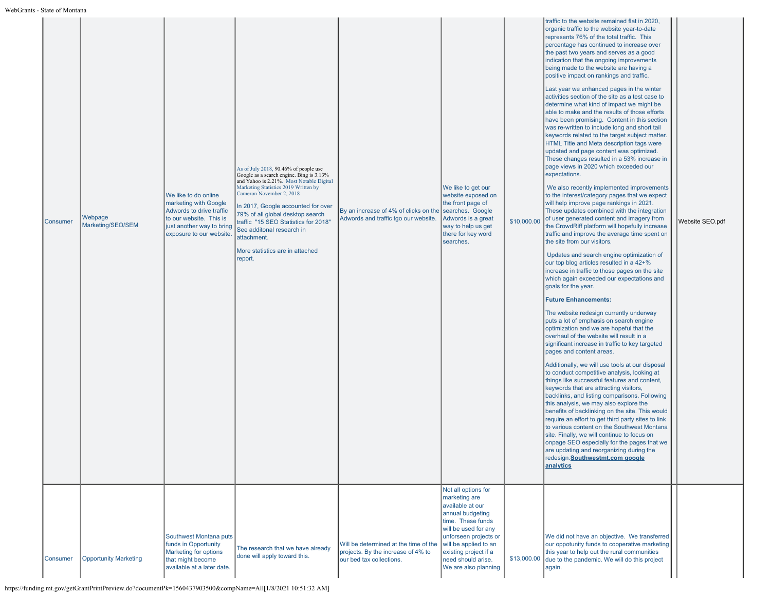| Consumer | Webpage<br>Marketing/SEO/SEM | We like to do online<br>marketing with Google<br>Adwords to drive traffic<br>to our website. This is<br>just another way to bring<br>exposure to our website. | As of July 2018, 90.46% of people use<br>Coogle as a search engine. Bing is 3.13%<br>and Yahoo is 2.21%. Most Notable Digital<br>Marketing Statistics 2019 Written by<br>Cameron November 2, 2018<br>In 2017, Google accounted for over<br>79% of all global desktop search<br>traffic "15 SEO Statistics for 2018"<br>See additonal research in<br>attachment.<br>More statistics are in attached<br>report. | By an increase of 4% of clicks on the<br>Adwords and traffic tgo our website.                           | We like to get our<br>website exposed on<br>the front page of<br>searches. Google<br>Adwords is a great<br>way to help us get<br>there for key word<br>searches.                                                                                   | \$10,000.00 | traffic to the website remained flat in 2020,<br>organic traffic to the website year-to-date<br>represents 76% of the total traffic. This<br>percentage has continued to increase over<br>the past two years and serves as a good<br>indication that the ongoing improvements<br>being made to the website are having a<br>positive impact on rankings and traffic.<br>Last year we enhanced pages in the winter<br>activities section of the site as a test case to<br>determine what kind of impact we might be<br>able to make and the results of those efforts<br>have been promising. Content in this section<br>was re-written to include long and short tail<br>keywords related to the target subject matter.<br>HTML Title and Meta description tags were<br>updated and page content was optimized.<br>These changes resulted in a 53% increase in<br>page views in 2020 which exceeded our<br>expectations.<br>We also recently implemented improvements<br>to the interest/category pages that we expect<br>will help improve page rankings in 2021.<br>These updates combined with the integration<br>of user generated content and imagery from<br>the CrowdRiff platform will hopefully increase<br>traffic and improve the average time spent on<br>the site from our visitors.<br>Updates and search engine optimization of<br>our top blog articles resulted in a 42+%<br>increase in traffic to those pages on the site<br>which again exceeded our expectations and<br>goals for the year.<br><b>Future Enhancements:</b><br>The website redesign currently underway<br>puts a lot of emphasis on search engine<br>optimization and we are hopeful that the<br>overhaul of the website will result in a<br>significant increase in traffic to key targeted<br>pages and content areas.<br>Additionally, we will use tools at our disposal<br>to conduct competitive analysis, looking at<br>things like successful features and content,<br>keywords that are attracting visitors,<br>backlinks, and listing comparisons. Following<br>this analysis, we may also explore the<br>benefits of backlinking on the site. This would<br>require an effort to get third party sites to link<br>to various content on the Southwest Montana<br>site. Finally, we will continue to focus on<br>onpage SEO especially for the pages that we<br>are updating and reorganizing during the<br>redesign. Southwestmt.com google<br>analytics | Website SEO.pdf |
|----------|------------------------------|---------------------------------------------------------------------------------------------------------------------------------------------------------------|---------------------------------------------------------------------------------------------------------------------------------------------------------------------------------------------------------------------------------------------------------------------------------------------------------------------------------------------------------------------------------------------------------------|---------------------------------------------------------------------------------------------------------|----------------------------------------------------------------------------------------------------------------------------------------------------------------------------------------------------------------------------------------------------|-------------|------------------------------------------------------------------------------------------------------------------------------------------------------------------------------------------------------------------------------------------------------------------------------------------------------------------------------------------------------------------------------------------------------------------------------------------------------------------------------------------------------------------------------------------------------------------------------------------------------------------------------------------------------------------------------------------------------------------------------------------------------------------------------------------------------------------------------------------------------------------------------------------------------------------------------------------------------------------------------------------------------------------------------------------------------------------------------------------------------------------------------------------------------------------------------------------------------------------------------------------------------------------------------------------------------------------------------------------------------------------------------------------------------------------------------------------------------------------------------------------------------------------------------------------------------------------------------------------------------------------------------------------------------------------------------------------------------------------------------------------------------------------------------------------------------------------------------------------------------------------------------------------------------------------------------------------------------------------------------------------------------------------------------------------------------------------------------------------------------------------------------------------------------------------------------------------------------------------------------------------------------------------------------------------------------------------------------------------------------------------------------------------------------------------------------------------------------|-----------------|
| Consumer | <b>Opportunity Marketing</b> | Southwest Montana puts<br>funds in Opportunity<br>Marketing for options<br>that might become<br>available at a later date.                                    | The research that we have already<br>done will apply toward this.                                                                                                                                                                                                                                                                                                                                             | Will be determined at the time of the<br>projects. By the increase of 4% to<br>our bed tax collections. | Not all options for<br>marketing are<br>available at our<br>annual budgeting<br>time. These funds<br>will be used for any<br>unforseen projects or<br>will be applied to an<br>existing project if a<br>need should arise.<br>We are also planning | \$13,000.00 | We did not have an objective. We transferred<br>our oppotunity funds to cooperative marketing<br>this year to help out the rural communities<br>due to the pandemic. We will do this project<br>again.                                                                                                                                                                                                                                                                                                                                                                                                                                                                                                                                                                                                                                                                                                                                                                                                                                                                                                                                                                                                                                                                                                                                                                                                                                                                                                                                                                                                                                                                                                                                                                                                                                                                                                                                                                                                                                                                                                                                                                                                                                                                                                                                                                                                                                               |                 |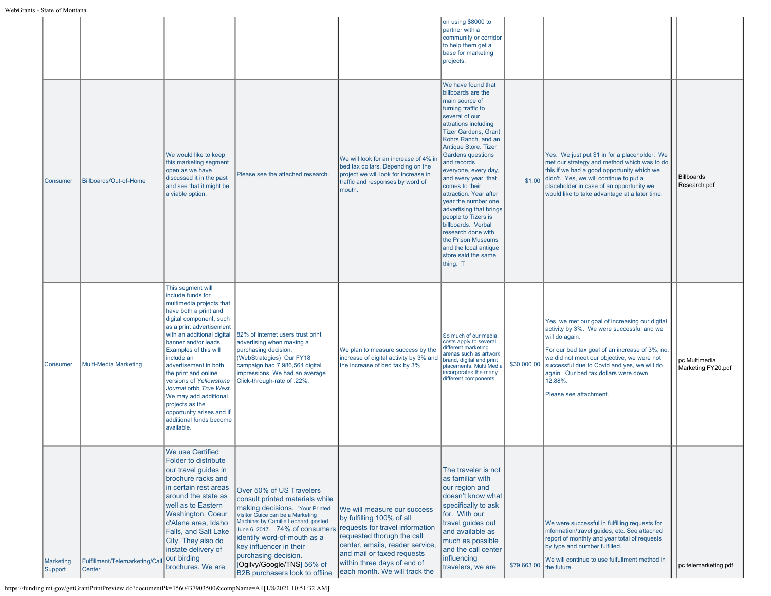|                      |                                          |                                                                                                                                                                                                                                                                                                                                                                                                                                                                          |                                                                                                                                                                                                                                                                                                                                                               |                                                                                                                                                                                                                                                            | on using \$8000 to<br>partner with a<br>community or corridor<br>to help them get a<br>base for marketing<br>projects.                                                                                                                                                                                                                                                                                                                                                                                                                                |             |                                                                                                                                                                                                                                                                                                                                           |                                     |
|----------------------|------------------------------------------|--------------------------------------------------------------------------------------------------------------------------------------------------------------------------------------------------------------------------------------------------------------------------------------------------------------------------------------------------------------------------------------------------------------------------------------------------------------------------|---------------------------------------------------------------------------------------------------------------------------------------------------------------------------------------------------------------------------------------------------------------------------------------------------------------------------------------------------------------|------------------------------------------------------------------------------------------------------------------------------------------------------------------------------------------------------------------------------------------------------------|-------------------------------------------------------------------------------------------------------------------------------------------------------------------------------------------------------------------------------------------------------------------------------------------------------------------------------------------------------------------------------------------------------------------------------------------------------------------------------------------------------------------------------------------------------|-------------|-------------------------------------------------------------------------------------------------------------------------------------------------------------------------------------------------------------------------------------------------------------------------------------------------------------------------------------------|-------------------------------------|
| <b>Consumer</b>      | Billboards/Out-of-Home                   | We would like to keep<br>this marketing segment<br>open as we have<br>discussed it in the past<br>and see that it might be<br>a viable option.                                                                                                                                                                                                                                                                                                                           | Please see the attached research.                                                                                                                                                                                                                                                                                                                             | We will look for an increase of 4% ir<br>bed tax dollars. Depending on the<br>project we will look for increase in<br>traffic and responses by word of<br>mouth.                                                                                           | We have found that<br>billboards are the<br>main source of<br>turning traffic to<br>several of our<br>attrations including<br><b>Tizer Gardens, Grant</b><br>Kohrs Ranch, and an<br>Antique Store. Tizer<br><b>Gardens questions</b><br>and records<br>everyone, every day,<br>and every year that<br>comes to their<br>attraction. Year after<br>year the number one<br>advertising that brings<br>people to Tizers is<br>billboards. Verbal<br>research done with<br>the Prison Museums<br>and the local antique<br>store said the same<br>thing. T | \$1.00      | Yes. We just put \$1 in for a placeholder. We<br>met our strategy and method which was to do<br>this if we had a good opportunity which we<br>didn't. Yes, we will continue to put a<br>placeholder in case of an opportunity we<br>would like to take advantage at a later time.                                                         | Billboards<br>Research.pdf          |
| Consumer             | Multi-Media Marketing                    | This segment will<br>include funds for<br>multimedia projects that<br>have both a print and<br>digital component, such<br>as a print advertisement<br>with an additional digital<br>banner and/or leads.<br>Examples of this will<br>include an<br>advertisement in both<br>the print and online<br>versions of Yellowstone<br>Journal orbb True West.<br>We may add additional<br>projects as the<br>opportunity arises and if<br>additional funds become<br>available. | 82% of internet users trust print<br>advertising when making a<br>purchasing decision.<br>(WebStrategies) Our FY18<br>campaign had 7,986,564 digital<br>impressions, We had an average<br>Click-through-rate of .22%.                                                                                                                                         | We plan to measure success by the<br>increase of digital activity by 3% and<br>the increase of bed tax by 3%                                                                                                                                               | So much of our media<br>costs apply to several<br>different marketing<br>arenas such as artwork,<br>brand, digital and print<br>placements. Multi Media<br>incorporates the many<br>different components.                                                                                                                                                                                                                                                                                                                                             | \$30,000.00 | Yes, we met our goal of increasing our digital<br>activity by 3%. We were successful and we<br>will do again.<br>For our bed tax goal of an increase of 3%; no,<br>we did not meet our objective, we were not<br>successful due to Covid and yes, we will do<br>again. Our bed tax dollars were down<br>12.88%.<br>Please see attachment. | pc Multimedia<br>Marketing FY20.pdf |
| Marketing<br>Support | Fulfillment/Telemarketing/Call<br>Center | We use Certified<br>Folder to distribute<br>our travel guides in<br>brochure racks and<br>in certain rest areas<br>around the state as<br>well as to Eastern<br><b>Washington, Coeur</b><br>d'Alene area, Idaho<br>Falls, and Salt Lake<br>City. They also do<br>instate delivery of<br>our birding<br>brochures. We are                                                                                                                                                 | Over 50% of US Travelers<br>consult printed materials while<br>making decisions. "Your Printed<br>Visitor Guice can be a Marketing<br>Machine: by Camille Leonard, posted<br>June 6, 2017. 74% of consumers<br>identify word-of-mouth as a<br>key influencer in their<br>purchasing decision.<br>[Ogilvy/Google/TNS] 56% of<br>B2B purchasers look to offline | We will measure our success<br>by fulfilling 100% of all<br>requests for travel information<br>requested thorugh the call<br>center, emails, reader service,<br>and mail or faxed requests<br>within three days of end of<br>each month. We will track the | The traveler is not<br>as familiar with<br>our region and<br>doesn't know what<br>specifically to ask<br>for. With our<br>travel guides out<br>and available as<br>much as possible<br>and the call center<br>influencing<br>travelers, we are                                                                                                                                                                                                                                                                                                        | \$79,663.00 | We were successful in fulfilling requests for<br>information/travel quides, etc. See attached<br>report of monthly and year total of requests<br>by type and number fulfilled.<br>We will continue to use fulfullment method in<br>the future.                                                                                            | pc telemarketing.pdf                |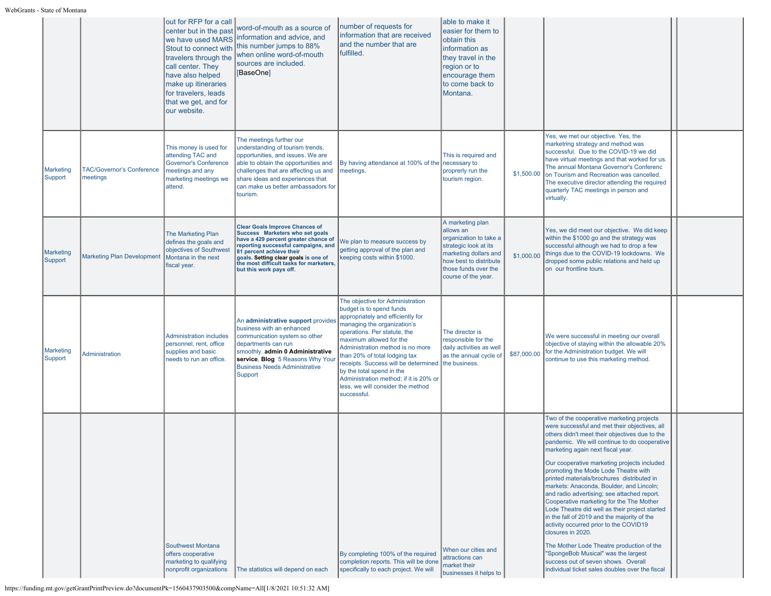|                             |                                              | out for RFP for a call<br>center but in the past<br>we have used MARS<br>Stout to connect with<br>travelers through the<br>call center. They<br>have also helped<br>make up itineraries<br>for travelers, leads<br>that we get, and for<br>our website. | word-of-mouth as a source of<br>information and advice, and<br>this number jumps to 88%<br>when online word-of-mouth<br>sources are included.<br>[BaseOne]                                                                                                                                        | number of requests for<br>information that are received<br>land the number that are<br>fulfilled.                                                                                                                                                                                                                                                                                                                                   | able to make it<br>easier for them to<br>obtain this<br>information as<br>they travel in the<br>region or to<br>encourage them<br>to come back to<br>Montana.                      |             |                                                                                                                                                                                                                                                                                                                                                                                                                                                                                                                                                                                                                                                                                                                                                                                                                                                             |  |
|-----------------------------|----------------------------------------------|---------------------------------------------------------------------------------------------------------------------------------------------------------------------------------------------------------------------------------------------------------|---------------------------------------------------------------------------------------------------------------------------------------------------------------------------------------------------------------------------------------------------------------------------------------------------|-------------------------------------------------------------------------------------------------------------------------------------------------------------------------------------------------------------------------------------------------------------------------------------------------------------------------------------------------------------------------------------------------------------------------------------|------------------------------------------------------------------------------------------------------------------------------------------------------------------------------------|-------------|-------------------------------------------------------------------------------------------------------------------------------------------------------------------------------------------------------------------------------------------------------------------------------------------------------------------------------------------------------------------------------------------------------------------------------------------------------------------------------------------------------------------------------------------------------------------------------------------------------------------------------------------------------------------------------------------------------------------------------------------------------------------------------------------------------------------------------------------------------------|--|
| <b>Marketing</b><br>Support | <b>TAC/Governor's Conference</b><br>neetings | This money is used for<br>attending TAC and<br><b>Governor's Conference</b><br>meetings and any<br>marketing meetings we<br>attend.                                                                                                                     | The meetings further our<br>understanding of tourism trends,<br>opportunities, and issues. We are<br>able to obtain the opportunities and<br>challenges that are affecting us and<br>share ideas and experiences that<br>can make us better ambassadors for<br>tourism.                           | By having attendance at 100% of the<br>meetings.                                                                                                                                                                                                                                                                                                                                                                                    | This is required and<br>necessary to<br>proprerly run the<br>tourism region.                                                                                                       | \$1,500.00  | Yes, we met our objective. Yes, the<br>marketring strategy and method was<br>successful. Due to the COVID-19 we did<br>have virtual meetings and that worked for us.<br>The annual Montana Governor's Conferenc<br>on Tourism and Recreation was cancelled.<br>The executive director attending the required<br>quarterly TAC meetings in person and<br>virtually.                                                                                                                                                                                                                                                                                                                                                                                                                                                                                          |  |
| Marketing<br>Support        | <b>Marketing Plan Development</b>            | The Marketing Plan<br>defines the goals and<br>objectives of Southwest<br>Montana in the next<br>fiscal year.                                                                                                                                           | <b>Clear Goals Improve Chances of</b><br>Success Marketers who set goals<br>have a 429 percent greater chance of<br>reporting successful campaigns, and<br>81 percent achieve their<br>goals. Setting clear goals is one of<br>the most difficult tasks for marketers,<br>but this work pays off. | We plan to measure success by<br>getting approval of the plan and<br>keeping costs within \$1000.                                                                                                                                                                                                                                                                                                                                   | A marketing plan<br>allows an<br>organization to take a<br>strategic look at its<br>marketing dollars and<br>how best to distribute<br>those funds over the<br>course of the year. | \$1,000.00  | Yes, we did meet our objective. We did keep<br>within the \$1000 go and the strategy was<br>successful although we had to drop a few<br>things due to the COVID-19 lockdowns. We<br>dropped some public relations and held up<br>on our frontline tours.                                                                                                                                                                                                                                                                                                                                                                                                                                                                                                                                                                                                    |  |
| <b>Marketing</b><br>Support | <b>Administration</b>                        | <b>Administration includes</b><br>personnel, rent, office<br>supplies and basic<br>needs to run an office.                                                                                                                                              | An administrative support provides<br>business with an enhanced<br>communication system so other<br>departments can run<br>smoothly. admin 0 Administrative<br>service, Blog 5 Reasons Why Your<br><b>Business Needs Administrative</b><br><b>Support</b>                                         | The objective for Administration<br>budget is to spend funds<br>appropriately and efficiently for<br>managing the organization's<br>operations. Per statute, the<br>maximum allowed for the<br>Administration method is no more<br>than 20% of total lodging tax<br>receipts. Success will be determined<br>by the total spend in the<br>Administration method; if it is 20% or<br>less, we will consider the method<br>successful. | The director is<br>responsible for the<br>daily activities as well<br>as the annual cycle of<br>the business.                                                                      | \$87,000.00 | We were successful in meeting our overall<br>objective of staying within the allowable 20%<br>for the Administration budget. We will<br>continue to use this marketing method.                                                                                                                                                                                                                                                                                                                                                                                                                                                                                                                                                                                                                                                                              |  |
|                             |                                              | <b>Southwest Montana</b><br>offers cooperative<br>marketing to qualifying<br>nonprofit organizations                                                                                                                                                    | The statistics will depend on each                                                                                                                                                                                                                                                                | By completing 100% of the required<br>completion reports. This will be done<br>specifically to each project. We will                                                                                                                                                                                                                                                                                                                | When our cities and<br>attractions can<br>market their<br>businesses it helps to                                                                                                   |             | Two of the cooperative marketing projects<br>were successful and met their objectives, all<br>others didn't meet their objectives due to the<br>pandemic. We will continue to do cooperative<br>marketing again next fiscal year.<br>Our cooperative marketing projects included<br>promoting the Mode Lode Theatre with<br>printed materials/brochures distributed in<br>markets: Anaconda, Boulder, and Lincoln;<br>and radio advertising; see attached report.<br>Cooperative marketing for the The Mother<br>Lode Theatre did well as their project started<br>in the fall of 2019 and the majority of the<br>activity occurred prior to the COVID19<br>closures in 2020.<br>The Mother Lode Theatre production of the<br>"SpongeBob Musical" was the largest<br>success out of seven shows. Overall<br>individual ticket sales doubles over the fiscal |  |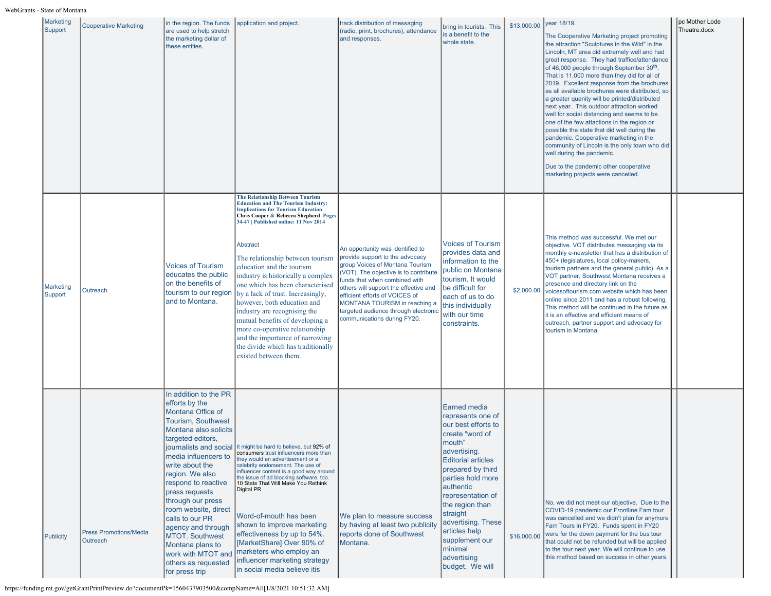| Marketing<br>Support        | <b>Cooperative Marketing</b>              | in the region. The funds<br>are used to help stretch<br>the marketing dollar of<br>these entities.                                                                                                                                                                                                                                                                                                                                         | application and project.                                                                                                                                                                                                                                                                                                                                                                                                                                                                                                                                                                                                                               | track distribution of messaging<br>(radio, print, brochures), attendance<br>and responses.                                                                                                                                                                                                                                                                          | bring in tourists. This<br>is a benefit to the<br>whole state.                                                                                                                                                                                                                                                                                      | \$13,000.00 | year 18/19.<br>The Cooperative Marketing project promoting<br>the attraction "Sculptures in the Wild" in the<br>Lincoln, MT area did extremely well and had<br>great response. They had traffice/attendance<br>of 46,000 people through September 30 <sup>th</sup> .<br>That is 11,000 more than they did for all of<br>2019. Excellent response from the brochures<br>as all available brochures were distributed, so<br>a greater quanity will be printed/distributed<br>next year. This outdoor attraction worked<br>well for social distancing and seems to be<br>one of the few attactions in the region or<br>possible the state that did well during the<br>pandemic. Cooperative marketing in the<br>community of Lincoln is the only town who did<br>well during the pandemic.<br>Due to the pandemic other cooperative<br>marketing projects were cancelled. | pc Mother Lode<br>Theatre.docx |
|-----------------------------|-------------------------------------------|--------------------------------------------------------------------------------------------------------------------------------------------------------------------------------------------------------------------------------------------------------------------------------------------------------------------------------------------------------------------------------------------------------------------------------------------|--------------------------------------------------------------------------------------------------------------------------------------------------------------------------------------------------------------------------------------------------------------------------------------------------------------------------------------------------------------------------------------------------------------------------------------------------------------------------------------------------------------------------------------------------------------------------------------------------------------------------------------------------------|---------------------------------------------------------------------------------------------------------------------------------------------------------------------------------------------------------------------------------------------------------------------------------------------------------------------------------------------------------------------|-----------------------------------------------------------------------------------------------------------------------------------------------------------------------------------------------------------------------------------------------------------------------------------------------------------------------------------------------------|-------------|------------------------------------------------------------------------------------------------------------------------------------------------------------------------------------------------------------------------------------------------------------------------------------------------------------------------------------------------------------------------------------------------------------------------------------------------------------------------------------------------------------------------------------------------------------------------------------------------------------------------------------------------------------------------------------------------------------------------------------------------------------------------------------------------------------------------------------------------------------------------|--------------------------------|
| <b>Marketing</b><br>Support | Outreach                                  | <b>Voices of Tourism</b><br>educates the public<br>on the benefits of<br>tourism to our region<br>and to Montana.                                                                                                                                                                                                                                                                                                                          | <b>The Relationship Between Tourism</b><br><b>Education and The Tourism Industry:</b><br><b>Implications for Tourism Education</b><br>Chris Cooper & Rebecca Shepherd Pages<br>34-47   Published online: 11 Nov 2014<br>Abstract<br>The relationship between tourism<br>education and the tourism<br>industry is historically a complex<br>one which has been characterised<br>by a lack of trust. Increasingly,<br>however, both education and<br>industry are recognising the<br>mutual benefits of developing a<br>more co-operative relationship<br>and the importance of narrowing<br>the divide which has traditionally<br>existed between them. | An opportunity was identified to<br>provide support to the advocacy<br>group Voices of Montana Tourism<br>(VOT). The objective is to contribute<br>funds that when combined with<br>others will support the effective and<br>efficient efforts of VOICES of<br>MONTANA TOURISM in reaching a<br>targeted audience through electronic<br>communications during FY20. | <b>Voices of Tourism</b><br>provides data and<br>information to the<br>public on Montana<br>tourism. It would<br>be difficult for<br>each of us to do<br>this individually<br>with our time<br>constraints.                                                                                                                                         | \$2,000.00  | This method was successful. We met our<br>objective. VOT distributes messaging via its<br>monthly e-newsletter that has a distribution of<br>450+ (legislatures, local policy-makers,<br>tourism partners and the general public). As a<br>VOT partner, Southwest Montana receives a<br>presence and directory link on the<br>voicesoftourism.com website which has been<br>online since 2011 and has a robust following.<br>This method will be continued in the future as<br>it is an effective and efficient means of<br>outreach, partner support and advocacy for<br>tourism in Montana.                                                                                                                                                                                                                                                                          |                                |
| Publicity                   | <b>Press Promotions/Media</b><br>Outreach | In addition to the PR<br>efforts by the<br>Montana Office of<br>Tourism, Southwest<br>Montana also solicits<br>targeted editors,<br>media influencers to<br>write about the<br>region. We also<br>respond to reactive<br>press requests<br>through our press<br>room website, direct<br>calls to our PR<br>agency and through<br><b>MTOT.</b> Southwest<br>Montana plans to<br>work with MTOT and<br>others as requested<br>for press trip | journalists and social It might be hard to believe, but 92% of<br>consumers trust influencers more than:<br>they would an advertisement or a<br>celebrity endorsement. The use of<br>influencer content is a good way around<br>the issue of ad blocking software, too.<br>10 Stats That Will Make You Rethink<br>Digital PR<br>Word-of-mouth has been<br>shown to improve marketing<br>effectiveness by up to 54%.<br>[MarketShare] Over 90% of<br>marketers who employ an<br>influencer marketing strategy<br>in social media believe itis                                                                                                           | We plan to measure success<br>by having at least two publicity<br>reports done of Southwest<br>Montana.                                                                                                                                                                                                                                                             | Earned media<br>represents one of<br>our best efforts to<br>create "word of<br>mouth"<br>advertising.<br><b>Editorial articles</b><br>prepared by third<br>parties hold more<br>authentic<br>representation of<br>the region than<br>straight<br>advertising. These<br>articles help<br>supplement our<br>minimal<br>advertising<br>budget. We will | \$16,000.00 | No, we did not meet our objective. Due to the<br>COVID-19 pandemic our Frontline Fam tour<br>was cancelled and we didn't plan for anymore<br>Fam Tours in FY20. Funds spent in FY20<br>were for the down payment for the bus tour<br>that could not be refunded but will be applied<br>to the tour next year. We will continue to use<br>this method based on success in other years.                                                                                                                                                                                                                                                                                                                                                                                                                                                                                  |                                |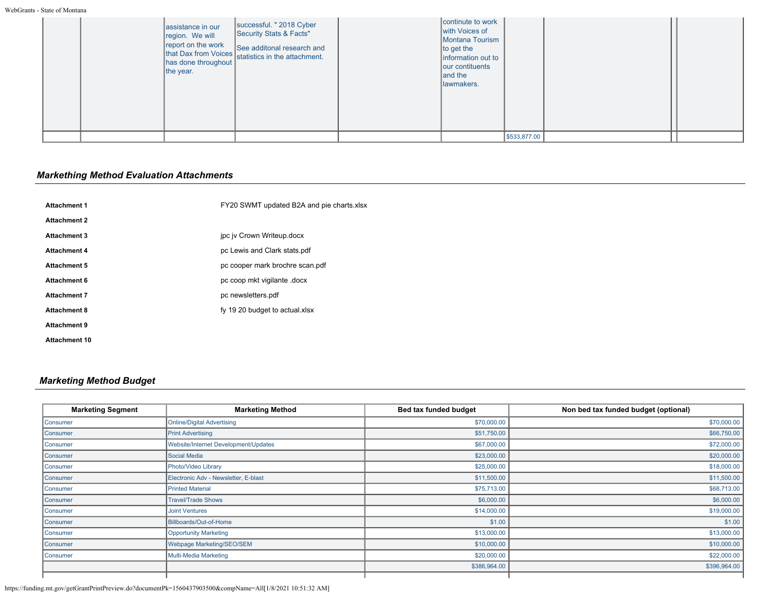| assistance in our<br>region. We will<br>report on the work<br>the year. | successful. " 2018 Cyber<br>Security Stats & Facts"<br>report on the work<br>that Dax from Voices<br>statistics in the attachment.<br>has done throughout | continute to work<br>with Voices of<br>Montana Tourism<br>$\ $ to get the<br>information out to<br>our contituents<br>and the<br>lawmakers. |              |  |
|-------------------------------------------------------------------------|-----------------------------------------------------------------------------------------------------------------------------------------------------------|---------------------------------------------------------------------------------------------------------------------------------------------|--------------|--|
|                                                                         |                                                                                                                                                           |                                                                                                                                             | \$533,877.00 |  |

# *Markething Method Evaluation Attachments*

| <b>Attachment 1</b>  | FY20 SWMT updated B2A and pie charts.xlsx |
|----------------------|-------------------------------------------|
| <b>Attachment 2</b>  |                                           |
| <b>Attachment 3</b>  | jpc jv Crown Writeup.docx                 |
| <b>Attachment 4</b>  | pc Lewis and Clark stats.pdf              |
| <b>Attachment 5</b>  | pc cooper mark brochre scan.pdf           |
| <b>Attachment 6</b>  | pc coop mkt vigilante .docx               |
| <b>Attachment 7</b>  | pc newsletters.pdf                        |
| <b>Attachment 8</b>  | fy 19 20 budget to actual xlsx            |
| <b>Attachment 9</b>  |                                           |
| <b>Attachment 10</b> |                                           |

# *Marketing Method Budget*

| <b>Marketing Segment</b> | <b>Marketing Method</b>              | Bed tax funded budget | Non bed tax funded budget (optional) |
|--------------------------|--------------------------------------|-----------------------|--------------------------------------|
| Consumer                 | <b>Online/Digital Advertising</b>    | \$70,000.00           | \$70,000.00                          |
| Consumer                 | <b>Print Advertising</b>             | \$51,750.00           | \$66,750.00                          |
| Consumer                 | Website/Internet Development/Updates | \$67,000.00           | \$72,000.00                          |
| Consumer                 | Social Media                         | \$23,000.00           | \$20,000.00                          |
| Consumer                 | Photo/Video Library                  | \$25,000.00           | \$18,000.00                          |
| Consumer                 | Electronic Adv - Newsletter, E-blast | \$11,500.00           | \$11,500.00                          |
| Consumer                 | <b>Printed Material</b>              | \$75,713.00           | \$68,713.00                          |
| Consumer                 | <b>Travel/Trade Shows</b>            | \$6,000.00            | \$6,000.00                           |
| Consumer                 | <b>Joint Ventures</b>                | \$14,000.00           | \$19,000.00                          |
| Consumer                 | Billboards/Out-of-Home               | \$1.00                | \$1.00                               |
| Consumer                 | <b>Opportunity Marketing</b>         | \$13,000.00           | \$13,000.00                          |
| Consumer                 | Webpage Marketing/SEO/SEM            | \$10,000.00           | \$10,000.00                          |
| Consumer                 | <b>Multi-Media Marketing</b>         | \$20,000.00           | \$22,000.00                          |
|                          |                                      | \$386,964.00          | \$396,964.00                         |
|                          |                                      |                       |                                      |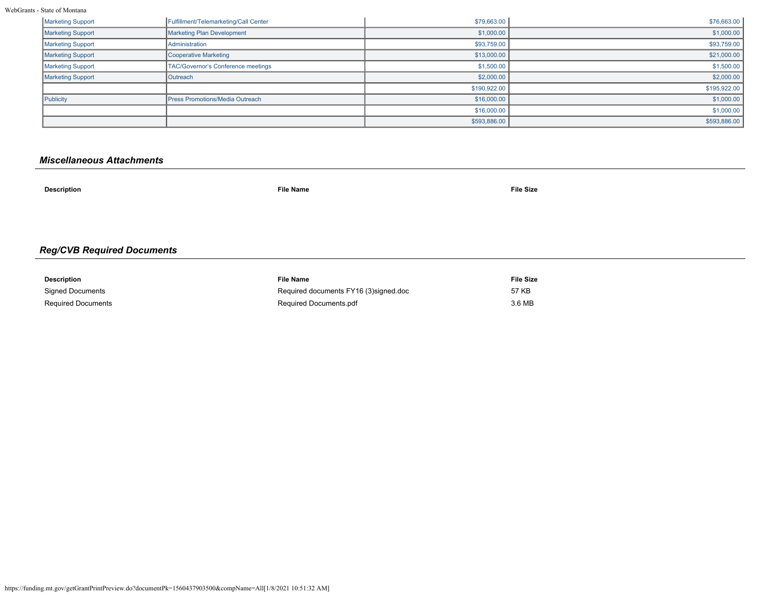WebGrants - State of Montana

| <b>Marketing Support</b> | Fulfillment/Telemarketing/Call Center  | \$79,663.00  | \$76,663.00  |
|--------------------------|----------------------------------------|--------------|--------------|
| <b>Marketing Support</b> | Marketing Plan Development             | \$1,000.00   | \$1,000.00   |
| Marketing Support        | <b>Administration</b>                  | \$93,759.00  | \$93,759.00  |
| <b>Marketing Support</b> | Cooperative Marketing                  | \$13,000.00  | \$21,000.00  |
| Marketing Support        | TAC/Governor's Conference meetings     | \$1,500.00   | \$1,500.00   |
| <b>Marketing Support</b> | Outreach                               | \$2,000.00   | \$2,000.00   |
|                          |                                        | \$190,922.00 | \$195,922.00 |
| Publicity                | <b>Press Promotions/Media Outreach</b> | \$16,000.00  | \$1,000.00   |
|                          |                                        | \$16,000.00  | \$1,000.00   |
|                          |                                        | \$593,886.00 | \$593,886.00 |

# *Miscellaneous Attachments*

| <b>Description</b>                | <b>File Name</b> | <b>File Size</b> |  |  |
|-----------------------------------|------------------|------------------|--|--|
|                                   |                  |                  |  |  |
|                                   |                  |                  |  |  |
| <b>Reg/CVB Required Documents</b> |                  |                  |  |  |
|                                   |                  |                  |  |  |

| Description               | File Name                             | File Size |
|---------------------------|---------------------------------------|-----------|
| <b>Signed Documents</b>   | Required documents FY16 (3)signed.doc | 57 KB     |
| <b>Required Documents</b> | Required Documents.pdf                | 3.6 MB    |